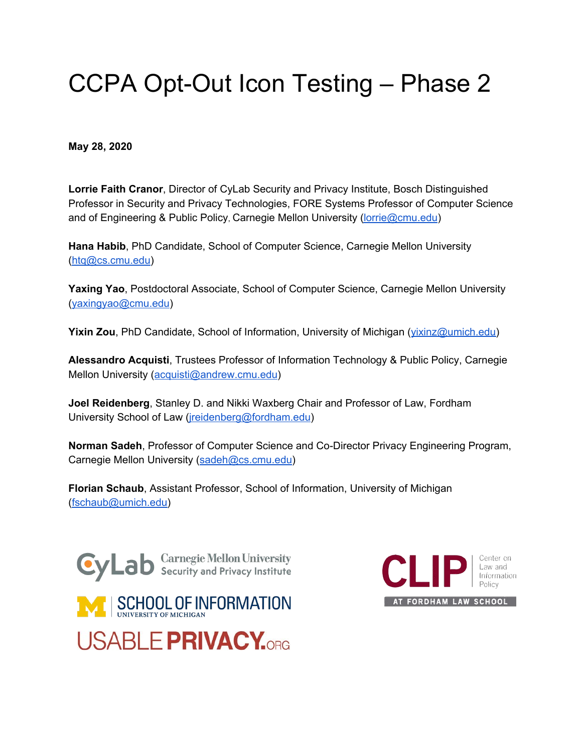# CCPA Opt-Out Icon Testing – Phase 2

 **May 28, 2020**

 **Lorrie Faith Cranor**, Director of CyLab Security and Privacy Institute, Bosch Distinguished Professor in Security and Privacy Technologies, FORE Systems Professor of Computer Science and of Engineering & Public Policy, Carnegie Mellon University (<u>lorrie@cmu.edu</u>)

 **Hana Habib**, PhD Candidate, School of Computer Science, Carnegie Mellon University ([htq@cs.cmu.edu](mailto:htq@cs.cmu.edu))

 **Yaxing Yao**, Postdoctoral Associate, School of Computer Science, Carnegie Mellon University ([yaxingyao@cmu.edu](mailto:yaxingyao@cmu.edu))

**Yixin Zou**, PhD Candidate, School of Information, University of Michigan ([yixinz@umich.edu\)](mailto:yixinz@umich.edu)

 **Alessandro Acquisti**, Trustees Professor of Information Technology & Public Policy, Carnegie Mellon University (<u>[acquisti@andrew.cmu.edu](mailto:acquisti@andrew.cmu.edu)</u>)

 **Joel Reidenberg**, Stanley D. and Nikki Waxberg Chair and Professor of Law, Fordham University School of Law (<u>jreidenberg@fordham.edu</u>)

 **Norman Sadeh**, Professor of Computer Science and Co-Director Privacy Engineering Program, Carnegie Mellon University (<u>sadeh@cs.cmu.edu</u>)

 **Florian Schaub**, Assistant Professor, School of Information, University of Michigan ([fschaub@umich.edu](mailto:fschaub@umich.edu))



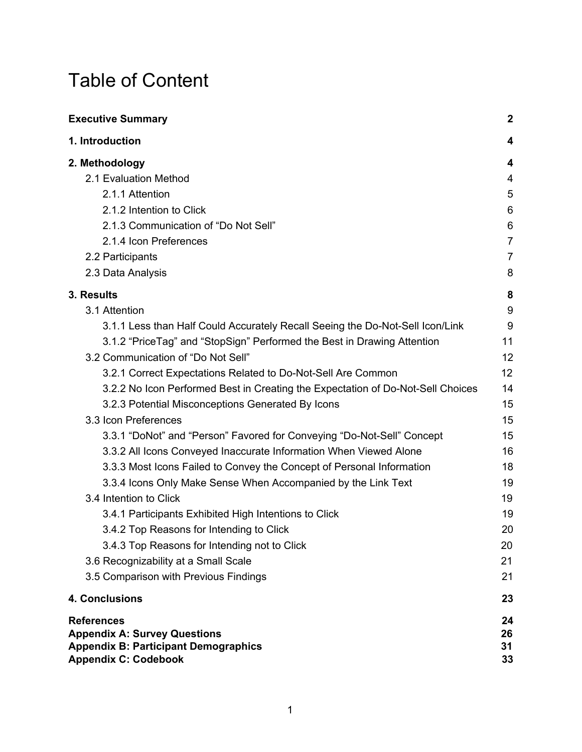# Table of Content

| <b>Executive Summary</b>                                                        | $\overline{2}$ |
|---------------------------------------------------------------------------------|----------------|
| 1. Introduction                                                                 | 4              |
| 2. Methodology                                                                  | 4              |
| 2.1 Evaluation Method                                                           | 4              |
| 2.1.1 Attention                                                                 | 5              |
| 2.1.2 Intention to Click                                                        | 6              |
| 2.1.3 Communication of "Do Not Sell"                                            | 6              |
| 2.1.4 Icon Preferences                                                          | 7              |
| 2.2 Participants                                                                | $\overline{7}$ |
| 2.3 Data Analysis                                                               | 8              |
| 3. Results                                                                      | 8              |
| 3.1 Attention                                                                   | 9              |
| 3.1.1 Less than Half Could Accurately Recall Seeing the Do-Not-Sell Icon/Link   | 9              |
| 3.1.2 "PriceTag" and "StopSign" Performed the Best in Drawing Attention         | 11             |
| 3.2 Communication of "Do Not Sell"                                              | 12             |
| 3.2.1 Correct Expectations Related to Do-Not-Sell Are Common                    | 12             |
| 3.2.2 No Icon Performed Best in Creating the Expectation of Do-Not-Sell Choices | 14             |
| 3.2.3 Potential Misconceptions Generated By Icons                               | 15             |
| 3.3 Icon Preferences                                                            | 15             |
| 3.3.1 "DoNot" and "Person" Favored for Conveying "Do-Not-Sell" Concept          | 15             |
| 3.3.2 All Icons Conveyed Inaccurate Information When Viewed Alone               | 16             |
| 3.3.3 Most Icons Failed to Convey the Concept of Personal Information           | 18             |
| 3.3.4 Icons Only Make Sense When Accompanied by the Link Text                   | 19             |
| 3.4 Intention to Click                                                          | 19             |
| 3.4.1 Participants Exhibited High Intentions to Click                           | 19             |
| 3.4.2 Top Reasons for Intending to Click                                        | 20             |
| 3.4.3 Top Reasons for Intending not to Click                                    | 20             |
| 3.6 Recognizability at a Small Scale                                            | 21             |
| 3.5 Comparison with Previous Findings                                           | 21             |
| 4. Conclusions                                                                  | 23             |
| <b>References</b>                                                               | 24             |
| <b>Appendix A: Survey Questions</b>                                             | 26             |
| <b>Appendix B: Participant Demographics</b><br><b>Appendix C: Codebook</b>      | 31<br>33       |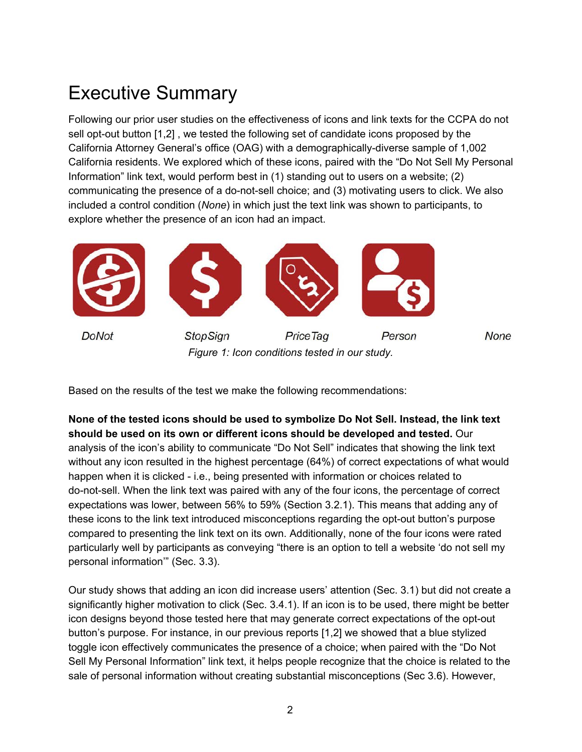# <span id="page-2-0"></span>Executive Summary

 Following our prior user studies on the effectiveness of icons and link texts for the CCPA do not sell opt-out button [1,2] , we tested the following set of candidate icons proposed by the California Attorney General's office (OAG) with a demographically-diverse sample of 1,002 California residents. We explored which of these icons, paired with the "Do Not Sell My Personal Information" link text, would perform best in (1) standing out to users on a website; (2) communicating the presence of a do-not-sell choice; and (3) motivating users to click. We also included a control condition (*None*) in which just the text link was shown to participants, to explore whether the presence of an icon had an impact.



Based on the results of the test we make the following recommendations:

 **None of the tested icons should be used to symbolize Do Not Sell. Instead, the link text should be used on its own or different icons should be developed and tested.** Our analysis of the icon's ability to communicate "Do Not Sell" indicates that showing the link text without any icon resulted in the highest percentage (64%) of correct expectations of what would happen when it is clicked - i.e., being presented with information or choices related to do-not-sell. When the link text was paired with any of the four icons, the percentage of correct expectations was lower, between 56% to 59% (Section 3.2.1). This means that adding any of these icons to the link text introduced misconceptions regarding the opt-out button's purpose compared to presenting the link text on its own. Additionally, none of the four icons were rated particularly well by participants as conveying "there is an option to tell a website 'do not sell my personal information'" (Sec. 3.3).

 Our study shows that adding an icon did increase users' attention (Sec. 3.1) but did not create a significantly higher motivation to click (Sec. 3.4.1). If an icon is to be used, there might be better icon designs beyond those tested here that may generate correct expectations of the opt-out button's purpose. For instance, in our previous reports [1,2] we showed that a blue stylized toggle icon effectively communicates the presence of a choice; when paired with the "Do Not Sell My Personal Information" link text, it helps people recognize that the choice is related to the sale of personal information without creating substantial misconceptions (Sec 3.6). However,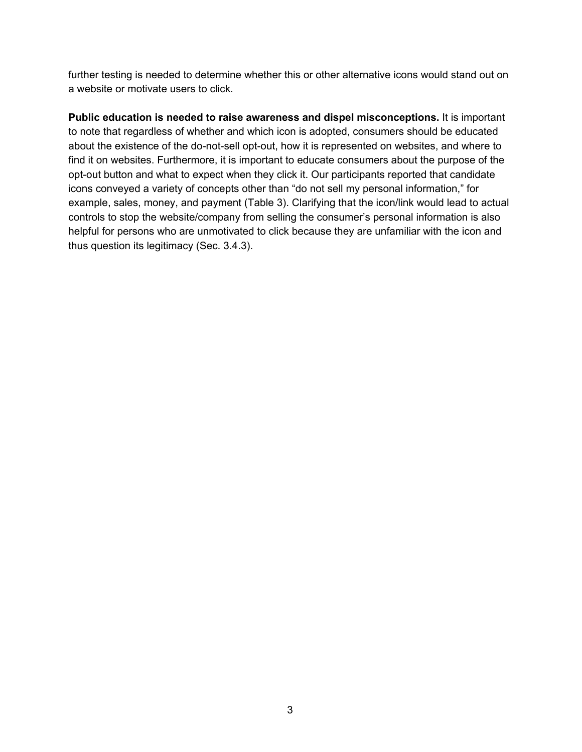further testing is needed to determine whether this or other alternative icons would stand out on a website or motivate users to click.

 **Public education is needed to raise awareness and dispel misconceptions.** It is important to note that regardless of whether and which icon is adopted, consumers should be educated about the existence of the do-not-sell opt-out, how it is represented on websites, and where to find it on websites. Furthermore, it is important to educate consumers about the purpose of the opt-out button and what to expect when they click it. Our participants reported that candidate icons conveyed a variety of concepts other than "do not sell my personal information," for example, sales, money, and payment (Table 3). Clarifying that the icon/link would lead to actual controls to stop the website/company from selling the consumer's personal information is also helpful for persons who are unmotivated to click because they are unfamiliar with the icon and thus question its legitimacy (Sec. 3.4.3).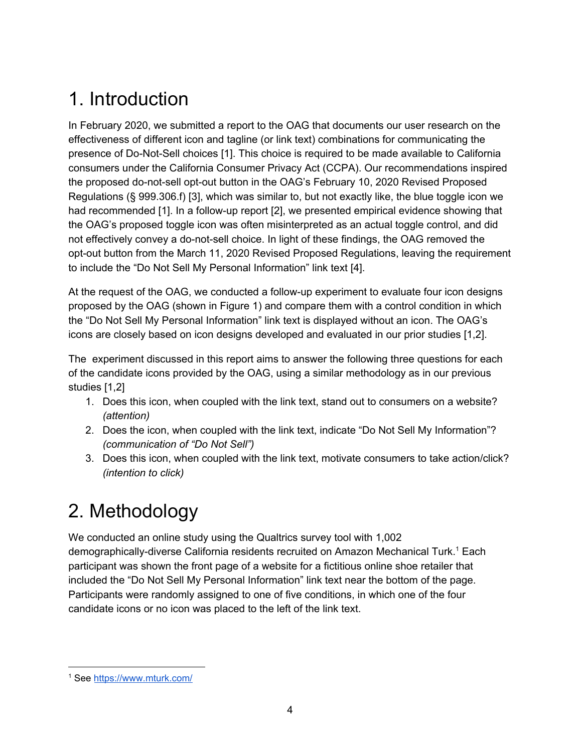# <span id="page-4-0"></span>1. Introduction

 In February 2020, we submitted a report to the OAG that documents our user research on the effectiveness of different icon and tagline (or link text) combinations for communicating the presence of Do-Not-Sell choices [1]. This choice is required to be made available to California consumers under the California Consumer Privacy Act (CCPA). Our recommendations inspired the proposed do-not-sell opt-out button in the OAG's February 10, 2020 Revised Proposed Regulations (§ 999.306.f) [3], which was similar to, but not exactly like, the blue toggle icon we had recommended [1]. In a follow-up report [2], we presented empirical evidence showing that the OAG's proposed toggle icon was often misinterpreted as an actual toggle control, and did not effectively convey a do-not-sell choice. In light of these findings, the OAG removed the opt-out button from the March 11, 2020 Revised Proposed Regulations, leaving the requirement to include the "Do Not Sell My Personal Information" link text [4].

 At the request of the OAG, we conducted a follow-up experiment to evaluate four icon designs proposed by the OAG (shown in Figure 1) and compare them with a control condition in which the "Do Not Sell My Personal Information" link text is displayed without an icon. The OAG's icons are closely based on icon designs developed and evaluated in our prior studies [1,2].

 The experiment discussed in this report aims to answer the following three questions for each of the candidate icons provided by the OAG, using a similar methodology as in our previous studies [1,2]

- 1. Does this icon, when coupled with the link text, stand out to consumers on a website? *(attention)*
- 2. Does the icon, when coupled with the link text, indicate "Do Not Sell My Information"?  *(communication of "Do Not Sell")*
- 3. Does this icon, when coupled with the link text, motivate consumers to take action/click?  *(intention to click)*

# <span id="page-4-1"></span>2. Methodology

 We conducted an online study using the Qualtrics survey tool with 1,002 demographically-diverse California residents recruited on Amazon Mechanical Turk.<sup>1</sup> Each participant was shown the front page of a website for a fictitious online shoe retailer that included the "Do Not Sell My Personal Information" link text near the bottom of the page. Participants were randomly assigned to one of five conditions, in which one of the four candidate icons or no icon was placed to the left of the link text.

<sup>&</sup>lt;sup>1</sup> See <u><https://www.mturk.com/></u>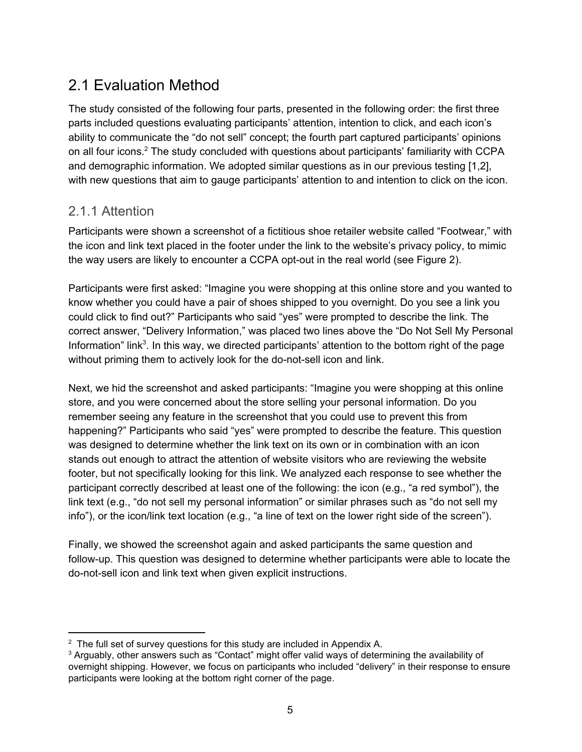# <span id="page-5-0"></span>2.1 Evaluation Method

 The study consisted of the following four parts, presented in the following order: the first three parts included questions evaluating participants' attention, intention to click, and each icon's ability to communicate the "do not sell" concept; the fourth part captured participants' opinions on all four icons. $^2$  The study concluded with questions about participants' familiarity with CCPA and demographic information. We adopted similar questions as in our previous testing [1,2], with new questions that aim to gauge participants' attention to and intention to click on the icon.

### <span id="page-5-1"></span>2.1.1 Attention

 Participants were shown a screenshot of a fictitious shoe retailer website called "Footwear," with the icon and link text placed in the footer under the link to the website's privacy policy, to mimic the way users are likely to encounter a CCPA opt-out in the real world (see Figure 2).

 Participants were first asked: "Imagine you were shopping at this online store and you wanted to know whether you could have a pair of shoes shipped to you overnight. Do you see a link you could click to find out?" Participants who said "yes" were prompted to describe the link. The correct answer, "Delivery Information," was placed two lines above the "Do Not Sell My Personal Information" link<sup>3</sup>. In this way, we directed participants' attention to the bottom right of the page without priming them to actively look for the do-not-sell icon and link.

 Next, we hid the screenshot and asked participants: "Imagine you were shopping at this online store, and you were concerned about the store selling your personal information. Do you remember seeing any feature in the screenshot that you could use to prevent this from happening?" Participants who said "yes" were prompted to describe the feature. This question was designed to determine whether the link text on its own or in combination with an icon stands out enough to attract the attention of website visitors who are reviewing the website footer, but not specifically looking for this link. We analyzed each response to see whether the participant correctly described at least one of the following: the icon (e.g., "a red symbol"), the link text (e.g., "do not sell my personal information" or similar phrases such as "do not sell my info"), or the icon/link text location (e.g., "a line of text on the lower right side of the screen").

 Finally, we showed the screenshot again and asked participants the same question and follow-up. This question was designed to determine whether participants were able to locate the do-not-sell icon and link text when given explicit instructions.

 $^{\rm 2}$  The full set of survey questions for this study are included in Appendix A.

 $^{\rm 3}$  Arguably, other answers such as "Contact" might offer valid ways of determining the availability of overnight shipping. However, we focus on participants who included "delivery" in their response to ensure participants were looking at the bottom right corner of the page.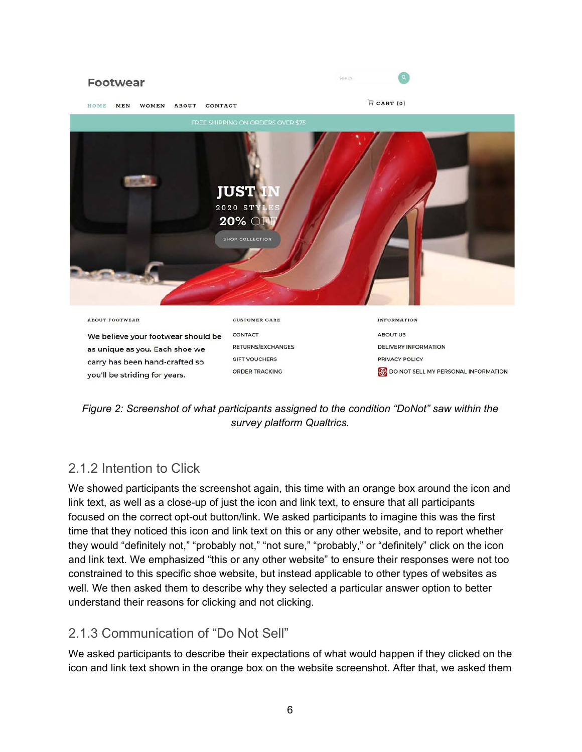

 *Figure 2: Screenshot of what participants assigned to the condition "DoNot" saw within the survey platform Qualtrics.*

### <span id="page-6-0"></span>2.1.2 Intention to Click

 We showed participants the screenshot again, this time with an orange box around the icon and link text, as well as a close-up of just the icon and link text, to ensure that all participants focused on the correct opt-out button/link. We asked participants to imagine this was the first time that they noticed this icon and link text on this or any other website, and to report whether they would "definitely not," "probably not," "not sure," "probably," or "definitely" click on the icon and link text. We emphasized "this or any other website" to ensure their responses were not too constrained to this specific shoe website, but instead applicable to other types of websites as well. We then asked them to describe why they selected a particular answer option to better understand their reasons for clicking and not clicking.

### <span id="page-6-1"></span>2.1.3 Communication of "Do Not Sell"

 We asked participants to describe their expectations of what would happen if they clicked on the icon and link text shown in the orange box on the website screenshot. After that, we asked them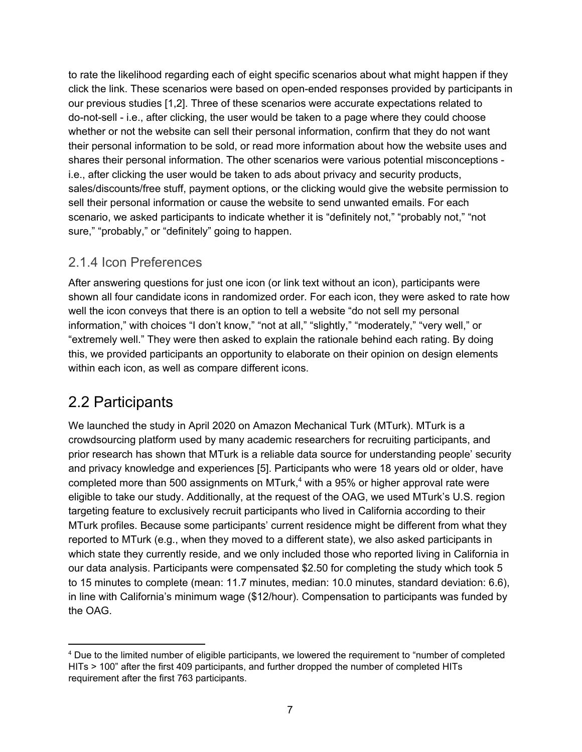to rate the likelihood regarding each of eight specific scenarios about what might happen if they click the link. These scenarios were based on open-ended responses provided by participants in our previous studies [1,2]. Three of these scenarios were accurate expectations related to do-not-sell - i.e., after clicking, the user would be taken to a page where they could choose whether or not the website can sell their personal information, confirm that they do not want their personal information to be sold, or read more information about how the website uses and shares their personal information. The other scenarios were various potential misconceptions - i.e., after clicking the user would be taken to ads about privacy and security products, sales/discounts/free stuff, payment options, or the clicking would give the website permission to sell their personal information or cause the website to send unwanted emails. For each scenario, we asked participants to indicate whether it is "definitely not," "probably not," "not sure," "probably," or "definitely" going to happen.

### <span id="page-7-0"></span>2.1.4 Icon Preferences

 After answering questions for just one icon (or link text without an icon), participants were shown all four candidate icons in randomized order. For each icon, they were asked to rate how well the icon conveys that there is an option to tell a website "do not sell my personal information," with choices "I don't know," "not at all," "slightly," "moderately," "very well," or "extremely well." They were then asked to explain the rationale behind each rating. By doing this, we provided participants an opportunity to elaborate on their opinion on design elements within each icon, as well as compare different icons.

## <span id="page-7-1"></span>2.2 Participants

 We launched the study in April 2020 on Amazon Mechanical Turk (MTurk). MTurk is a crowdsourcing platform used by many academic researchers for recruiting participants, and prior research has shown that MTurk is a reliable data source for understanding people' security and privacy knowledge and experiences [5]. Participants who were 18 years old or older, have completed more than 500 assignments on MTurk, $^{\text{4}}$  with a 95% or higher approval rate were eligible to take our study. Additionally, at the request of the OAG, we used MTurk's U.S. region targeting feature to exclusively recruit participants who lived in California according to their MTurk profiles. Because some participants' current residence might be different from what they reported to MTurk (e.g., when they moved to a different state), we also asked participants in which state they currently reside, and we only included those who reported living in California in our data analysis. Participants were compensated \$2.50 for completing the study which took 5 to 15 minutes to complete (mean: 11.7 minutes, median: 10.0 minutes, standard deviation: 6.6), in line with California's minimum wage (\$12/hour). Compensation to participants was funded by the OAG.

 $^{\rm 4}$  Due to the limited number of eligible participants, we lowered the requirement to "number of completed HITs > 100" after the first 409 participants, and further dropped the number of completed HITs requirement after the first 763 participants.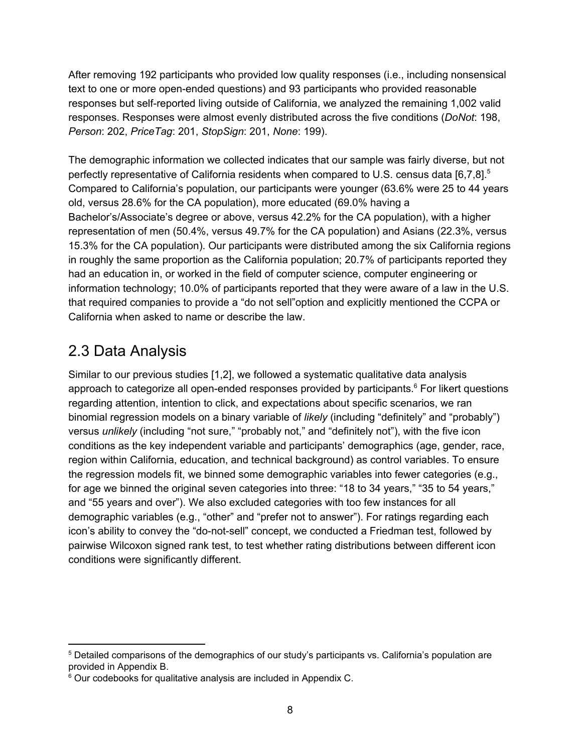After removing 192 participants who provided low quality responses (i.e., including nonsensical text to one or more open-ended questions) and 93 participants who provided reasonable responses but self-reported living outside of California, we analyzed the remaining 1,002 valid responses. Responses were almost evenly distributed across the five conditions (*DoNot*: 198, *Person*: 202, *PriceTag*: 201, *StopSign*: 201, *None*: 199).

 The demographic information we collected indicates that our sample was fairly diverse, but not perfectly representative of California residents when compared to U.S. census data [6,7,8]. $^{\rm 5}$  Compared to California's population, our participants were younger (63.6% were 25 to 44 years old, versus 28.6% for the CA population), more educated (69.0% having a Bachelor's/Associate's degree or above, versus 42.2% for the CA population), with a higher representation of men (50.4%, versus 49.7% for the CA population) and Asians (22.3%, versus 15.3% for the CA population). Our participants were distributed among the six California regions in roughly the same proportion as the California population; 20.7% of participants reported they had an education in, or worked in the field of computer science, computer engineering or information technology; 10.0% of participants reported that they were aware of a law in the U.S. that required companies to provide a "do not sell"option and explicitly mentioned the CCPA or California when asked to name or describe the law.

# <span id="page-8-0"></span>2.3 Data Analysis

 Similar to our previous studies [1,2], we followed a systematic qualitative data analysis approach to categorize all open-ended responses provided by participants. $^6$  For likert questions regarding attention, intention to click, and expectations about specific scenarios, we ran binomial regression models on a binary variable of *likely* (including "definitely" and "probably") versus *unlikely* (including "not sure," "probably not," and "definitely not"), with the five icon conditions as the key independent variable and participants' demographics (age, gender, race, region within California, education, and technical background) as control variables. To ensure the regression models fit, we binned some demographic variables into fewer categories (e.g., for age we binned the original seven categories into three: "18 to 34 years," "35 to 54 years," and "55 years and over"). We also excluded categories with too few instances for all demographic variables (e.g., "other" and "prefer not to answer"). For ratings regarding each icon's ability to convey the "do-not-sell" concept, we conducted a Friedman test, followed by pairwise Wilcoxon signed rank test, to test whether rating distributions between different icon conditions were significantly different.

 $^{\rm 5}$  Detailed comparisons of the demographics of our study's participants vs. California's population are provided in Appendix B.

 $^6$  Our codebooks for qualitative analysis are included in Appendix C.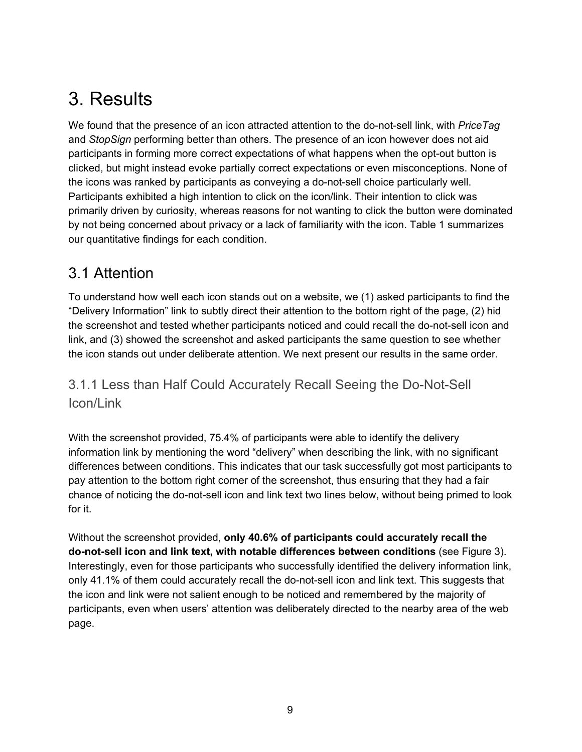# <span id="page-9-0"></span>3. Results

 We found that the presence of an icon attracted attention to the do-not-sell link, with *PriceTag* and *StopSign* performing better than others. The presence of an icon however does not aid participants in forming more correct expectations of what happens when the opt-out button is clicked, but might instead evoke partially correct expectations or even misconceptions. None of the icons was ranked by participants as conveying a do-not-sell choice particularly well. Participants exhibited a high intention to click on the icon/link. Their intention to click was primarily driven by curiosity, whereas reasons for not wanting to click the button were dominated by not being concerned about privacy or a lack of familiarity with the icon. Table 1 summarizes our quantitative findings for each condition.

## <span id="page-9-1"></span>3.1 Attention

 To understand how well each icon stands out on a website, we (1) asked participants to find the "Delivery Information" link to subtly direct their attention to the bottom right of the page, (2) hid the screenshot and tested whether participants noticed and could recall the do-not-sell icon and link, and (3) showed the screenshot and asked participants the same question to see whether the icon stands out under deliberate attention. We next present our results in the same order.

## <span id="page-9-2"></span> 3.1.1 Less than Half Could Accurately Recall Seeing the Do-Not-Sell Icon/Link

 With the screenshot provided, 75.4% of participants were able to identify the delivery information link by mentioning the word "delivery" when describing the link, with no significant differences between conditions. This indicates that our task successfully got most participants to pay attention to the bottom right corner of the screenshot, thus ensuring that they had a fair chance of noticing the do-not-sell icon and link text two lines below, without being primed to look for it.

 Without the screenshot provided, **only 40.6% of participants could accurately recall the do-not-sell icon and link text, with notable differences between conditions** (see Figure 3). Interestingly, even for those participants who successfully identified the delivery information link, only 41.1% of them could accurately recall the do-not-sell icon and link text. This suggests that the icon and link were not salient enough to be noticed and remembered by the majority of participants, even when users' attention was deliberately directed to the nearby area of the web page.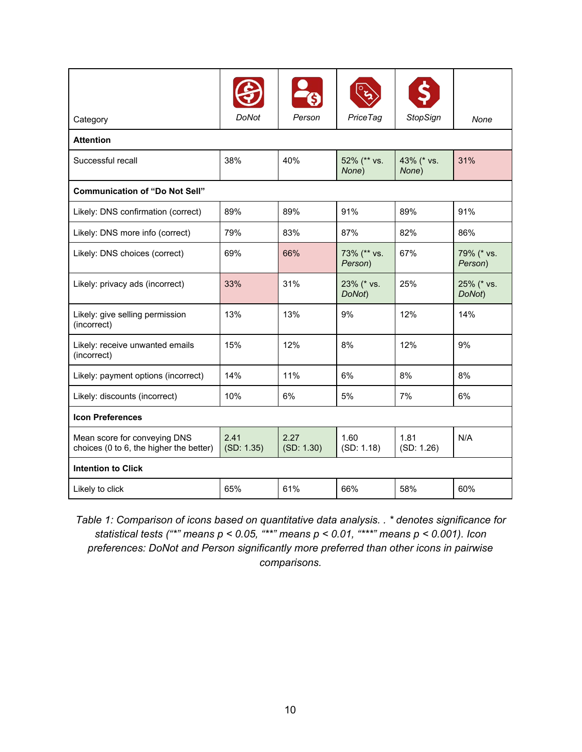| Category                                                                | <b>DoNot</b>       | Person             | Price Tag              | <b>StopSign</b>     | None                  |
|-------------------------------------------------------------------------|--------------------|--------------------|------------------------|---------------------|-----------------------|
| <b>Attention</b>                                                        |                    |                    |                        |                     |                       |
| Successful recall                                                       | 38%                | 40%                | 52% (** vs.<br>None)   | 43% (* vs.<br>None) | 31%                   |
| <b>Communication of "Do Not Sell"</b>                                   |                    |                    |                        |                     |                       |
| Likely: DNS confirmation (correct)                                      | 89%                | 89%                | 91%                    | 89%                 | 91%                   |
| Likely: DNS more info (correct)                                         | 79%                | 83%                | 87%                    | 82%                 | 86%                   |
| Likely: DNS choices (correct)                                           | 69%                | 66%                | 73% (** vs.<br>Person) | 67%                 | 79% (* vs.<br>Person) |
| Likely: privacy ads (incorrect)                                         | 33%                | 31%                | 23% (* vs.<br>DoNot)   | 25%                 | 25% (* vs.<br>DoNot)  |
| Likely: give selling permission<br>(incorrect)                          | 13%                | 13%                | 9%                     | 12%                 | 14%                   |
| Likely: receive unwanted emails<br>(incorrect)                          | 15%                | 12%                | 8%                     | 12%                 | 9%                    |
| Likely: payment options (incorrect)                                     | 14%                | 11%                | 6%                     | 8%                  | 8%                    |
| Likely: discounts (incorrect)                                           | 10%                | 6%                 | 5%                     | 7%                  | 6%                    |
| <b>Icon Preferences</b>                                                 |                    |                    |                        |                     |                       |
| Mean score for conveying DNS<br>choices (0 to 6, the higher the better) | 2.41<br>(SD: 1.35) | 2.27<br>(SD: 1.30) | 1.60<br>(SD: 1.18)     | 1.81<br>(SD: 1.26)  | N/A                   |
| <b>Intention to Click</b>                                               |                    |                    |                        |                     |                       |
| Likely to click                                                         | 65%                | 61%                | 66%                    | 58%                 | 60%                   |

 *Table 1: Comparison of icons based on quantitative data analysis. . \* denotes significance for statistical tests ("\*" means p < 0.05, "\*\*" means p < 0.01, "\*\*\*" means p < 0.001). Icon preferences: DoNot and Person significantly more preferred than other icons in pairwise comparisons.*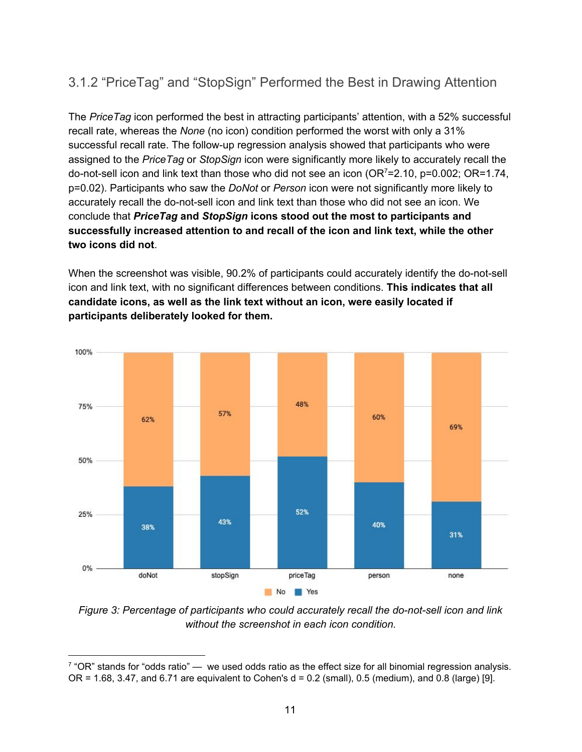## <span id="page-11-0"></span>3.1.2 "PriceTag" and "StopSign" Performed the Best in Drawing Attention

 The *PriceTag* icon performed the best in attracting participants' attention, with a 52% successful recall rate, whereas the *None* (no icon) condition performed the worst with only a 31% successful recall rate. The follow-up regression analysis showed that participants who were assigned to the *PriceTag* or *StopSign* icon were significantly more likely to accurately recall the do-not-sell icon and link text than those who did not see an icon (OR<sup>7</sup>[=2.10,](https://OR7=2.10) p=0.002; OR=1.74, p=0.02). Participants who saw the *DoNot* or *Person* icon were not significantly more likely to accurately recall the do-not-sell icon and link text than those who did not see an icon. We conclude that *PriceTag* **and** *StopSign* **icons stood out the most to participants and successfully increased attention to and recall of the icon and link text, while the other two icons did not**.

 When the screenshot was visible, 90.2% of participants could accurately identify the do-not-sell icon and link text, with no significant differences between conditions. **This indicates that all candidate icons, as well as the link text without an icon, were easily located if participants deliberately looked for them.**



 *Figure 3: Percentage of participants who could accurately recall the do-not-sell icon and link without the screenshot in each icon condition.*

 $^7$  "OR" stands for "odds ratio" — we used odds ratio as the effect size for all binomial regression analysis. OR = 1.68, 3.47, and 6.71 are equivalent to Cohen's d = 0.2 (small), 0.5 (medium), and 0.8 (large) [9].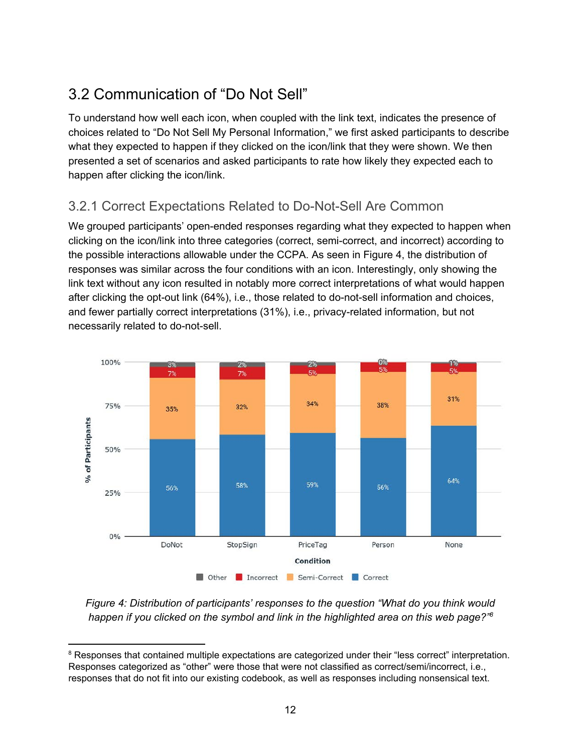# <span id="page-12-0"></span>3.2 Communication of "Do Not Sell"

 To understand how well each icon, when coupled with the link text, indicates the presence of choices related to "Do Not Sell My Personal Information," we first asked participants to describe what they expected to happen if they clicked on the icon/link that they were shown. We then presented a set of scenarios and asked participants to rate how likely they expected each to happen after clicking the icon/link.

## <span id="page-12-1"></span>3.2.1 Correct Expectations Related to Do-Not-Sell Are Common

 We grouped participants' open-ended responses regarding what they expected to happen when clicking on the icon/link into three categories (correct, semi-correct, and incorrect) according to the possible interactions allowable under the CCPA. As seen in Figure 4, the distribution of responses was similar across the four conditions with an icon. Interestingly, only showing the link text without any icon resulted in notably more correct interpretations of what would happen after clicking the opt-out link (64%), i.e., those related to do-not-sell information and choices, and fewer partially correct interpretations (31%), i.e., privacy-related information, but not necessarily related to do-not-sell.



 *Figure 4: Distribution of participants' responses to the question "What do you think would happen if you clicked on the symbol and link in the highlighted area on this web page?"8*

 $^8$  Responses that contained multiple expectations are categorized under their "less correct" interpretation. Responses categorized as "other" were those that were not classified as correct/semi/incorrect, i.e., responses that do not fit into our existing codebook, as well as responses including nonsensical text.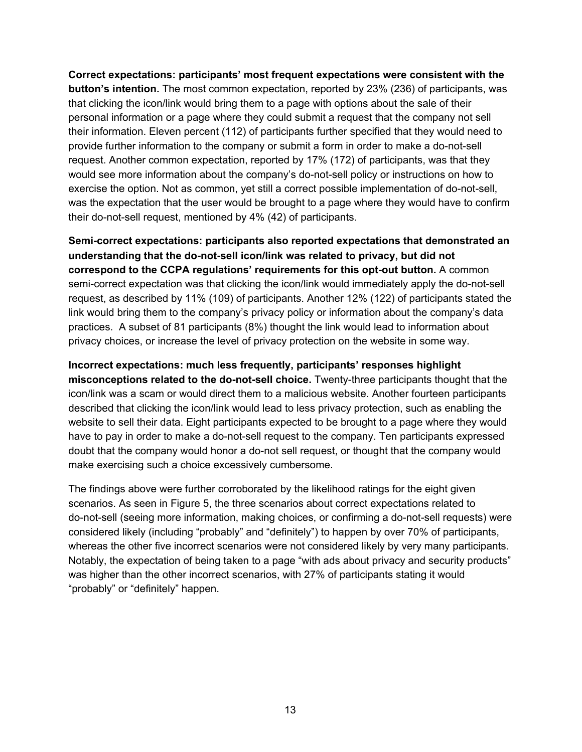**Correct expectations: participants' most frequent expectations were consistent with the button's intention.** The most common expectation, reported by 23% (236) of participants, was that clicking the icon/link would bring them to a page with options about the sale of their personal information or a page where they could submit a request that the company not sell their information. Eleven percent (112) of participants further specified that they would need to provide further information to the company or submit a form in order to make a do-not-sell request. Another common expectation, reported by 17% (172) of participants, was that they would see more information about the company's do-not-sell policy or instructions on how to exercise the option. Not as common, yet still a correct possible implementation of do-not-sell, was the expectation that the user would be brought to a page where they would have to confirm their do-not-sell request, mentioned by 4% (42) of participants.

 **Semi-correct expectations: participants also reported expectations that demonstrated an understanding that the do-not-sell icon/link was related to privacy, but did not correspond to the CCPA regulations' requirements for this opt-out button.** A common semi-correct expectation was that clicking the icon/link would immediately apply the do-not-sell request, as described by 11% (109) of participants. Another 12% (122) of participants stated the link would bring them to the company's privacy policy or information about the company's data practices. A subset of 81 participants (8%) thought the link would lead to information about privacy choices, or increase the level of privacy protection on the website in some way.

#### **Incorrect expectations: much less frequently, participants' responses highlight**

 **misconceptions related to the do-not-sell choice.** Twenty-three participants thought that the icon/link was a scam or would direct them to a malicious website. Another fourteen participants described that clicking the icon/link would lead to less privacy protection, such as enabling the website to sell their data. Eight participants expected to be brought to a page where they would have to pay in order to make a do-not-sell request to the company. Ten participants expressed doubt that the company would honor a do-not sell request, or thought that the company would make exercising such a choice excessively cumbersome.

 The findings above were further corroborated by the likelihood ratings for the eight given scenarios. As seen in Figure 5, the three scenarios about correct expectations related to do-not-sell (seeing more information, making choices, or confirming a do-not-sell requests) were considered likely (including "probably" and "definitely") to happen by over 70% of participants, whereas the other five incorrect scenarios were not considered likely by very many participants. Notably, the expectation of being taken to a page "with ads about privacy and security products" was higher than the other incorrect scenarios, with 27% of participants stating it would "probably" or "definitely" happen.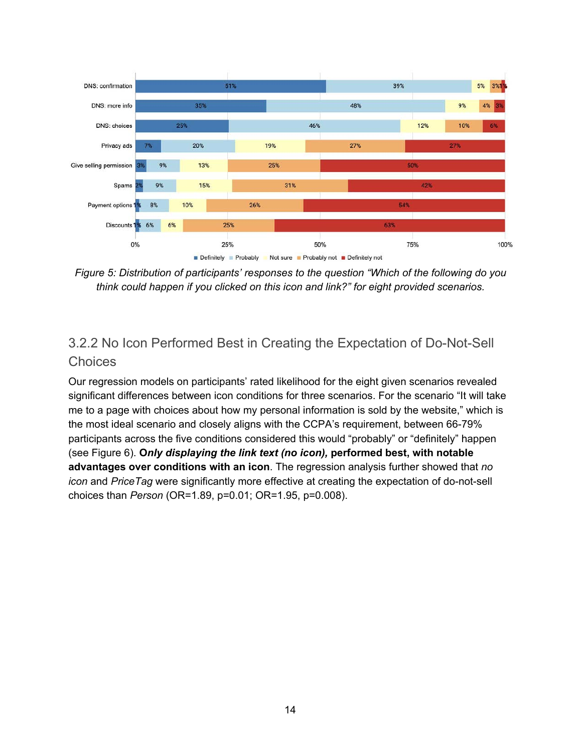

 *Figure 5: Distribution of participants' responses to the question "Which of the following do you think could happen if you clicked on this icon and link?" for eight provided scenarios.*

## <span id="page-14-0"></span> 3.2.2 No Icon Performed Best in Creating the Expectation of Do-Not-Sell **Choices**

 Our regression models on participants' rated likelihood for the eight given scenarios revealed significant differences between icon conditions for three scenarios. For the scenario "It will take me to a page with choices about how my personal information is sold by the website," which is the most ideal scenario and closely aligns with the CCPA's requirement, between 66-79% participants across the five conditions considered this would "probably" or "definitely" happen (see Figure 6). **O***nly displaying the link text (no icon),* **performed best, with notable advantages over conditions with an icon**. The regression analysis further showed that *no icon* and *PriceTag* were significantly more effective at creating the expectation of do-not-sell choices than *Person* (OR=1.89, p=0.01; OR=1.95, p=0.008).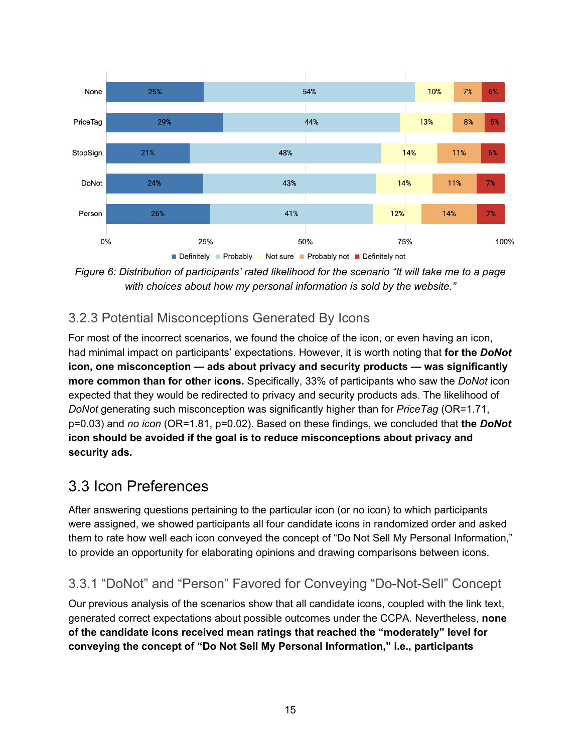

Figure 6: Distribution of participants' rated likelihood for the scenario "It will take me to a page  *with choices about how my personal information is sold by the website."*

## <span id="page-15-0"></span>3.2.3 Potential Misconceptions Generated By Icons

 For most of the incorrect scenarios, we found the choice of the icon, or even having an icon, had minimal impact on participants' expectations. However, it is worth noting that **for the** *DoNot*  **icon, one misconception — ads about privacy and security products — was significantly more common than for other icons.** Specifically, 33% of participants who saw the *DoNot* icon expected that they would be redirected to privacy and security products ads. The likelihood of *DoNot* generating such misconception was significantly higher than for *PriceTag* (OR=1.71, p=0.03) and *no icon* (OR=1.81, p=0.02). Based on these findings, we concluded that **the** *DoNot*  **icon should be avoided if the goal is to reduce misconceptions about privacy and security ads.**

## <span id="page-15-1"></span>3.3 Icon Preferences

 After answering questions pertaining to the particular icon (or no icon) to which participants were assigned, we showed participants all four candidate icons in randomized order and asked them to rate how well each icon conveyed the concept of "Do Not Sell My Personal Information," to provide an opportunity for elaborating opinions and drawing comparisons between icons.

## <span id="page-15-2"></span>3.3.1 "DoNot" and "Person" Favored for Conveying "Do-Not-Sell" Concept

 Our previous analysis of the scenarios show that all candidate icons, coupled with the link text, generated correct expectations about possible outcomes under the CCPA. Nevertheless, **none of the candidate icons received mean ratings that reached the "moderately" level for conveying the concept of "Do Not Sell My Personal Information," i.e., participants**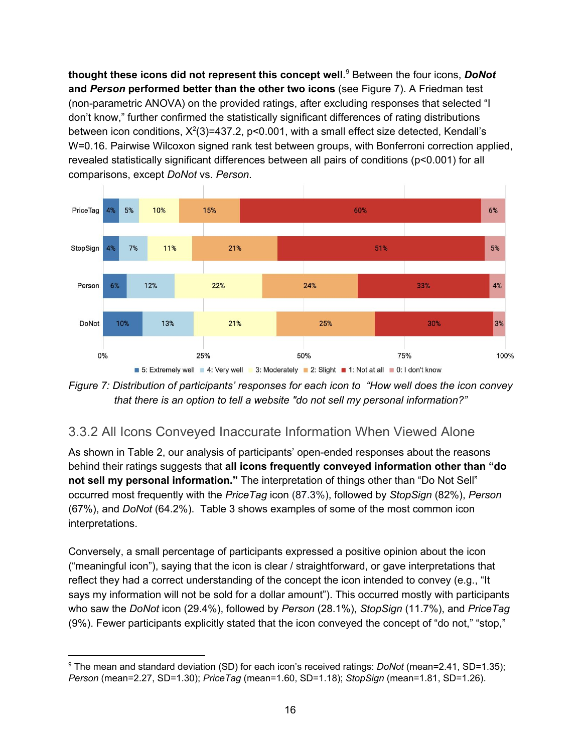**thought these icons did not represent this concept well.**<sup>9</sup> Between the four icons, *DoNot*  **and** *Person* **performed better than the other two icons** (see Figure 7). A Friedman test (non-parametric ANOVA) on the provided ratings, after excluding responses that selected "I don't know," further confirmed the statistically significant differences of rating distributions between icon conditions, X<sup>2</sup>(3)=437.2, p<0.001, with a small effect size detected, Kendall's W=0.16. Pairwise Wilcoxon signed rank test between groups, with Bonferroni correction applied, revealed statistically significant differences between all pairs of conditions (p<0.001) for all comparisons, except *DoNot* vs. *Person*.



 *Figure 7: Distribution of participants' responses for each icon to "How well does the icon convey that there is an option to tell a website "do not sell my personal information?"*

### <span id="page-16-0"></span>3.3.2 All Icons Conveyed Inaccurate Information When Viewed Alone

 As shown in Table 2, our analysis of participants' open-ended responses about the reasons behind their ratings suggests that **all icons frequently conveyed information other than "do not sell my personal information."** The interpretation of things other than "Do Not Sell" occurred most frequently with the *PriceTag* icon (87.3%), followed by *StopSign* (82%), *Person* (67%), and *DoNot* (64.2%). Table 3 shows examples of some of the most common icon interpretations.

 Conversely, a small percentage of participants expressed a positive opinion about the icon ("meaningful icon"), saying that the icon is clear / straightforward, or gave interpretations that reflect they had a correct understanding of the concept the icon intended to convey (e.g., "It says my information will not be sold for a dollar amount"). This occurred mostly with participants who saw the *DoNot* icon (29.4%), followed by *Person* (28.1%), *StopSign* (11.7%), and *PriceTag* (9%). Fewer participants explicitly stated that the icon conveyed the concept of "do not," "stop,"

 <sup>9</sup> The mean and standard deviation (SD) for each icon's received ratings: *DoNot* ([mean=2.41](https://mean=2.41), SD=1.35); *Person* ([mean=2.27](https://mean=2.27), SD=1.30); *PriceTag* ([mean=1.60](https://mean=1.60), SD=1.18); *StopSign* [\(mean=1.81,](https://mean=1.81) SD=1.26).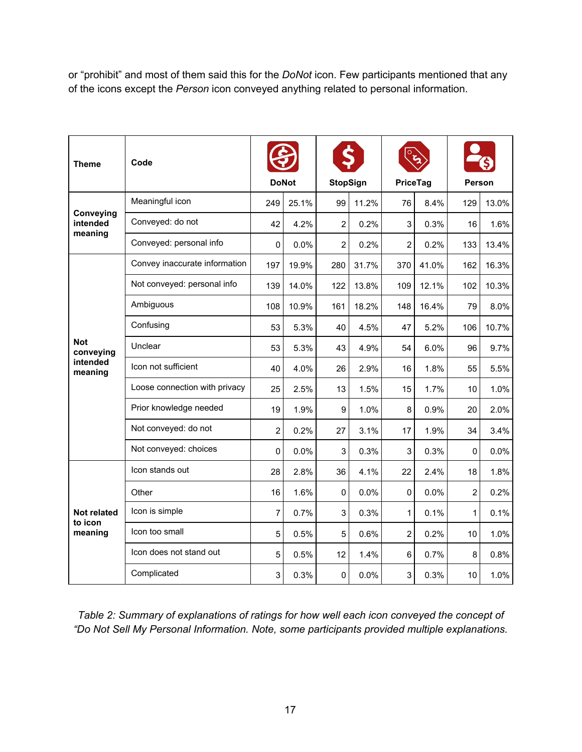or "prohibit" and most of them said this for the *DoNot* icon. Few participants mentioned that any of the icons except the *Person* icon conveyed anything related to personal information.

| Theme                             | Code                          |                |       |                 |       |          |       |                |       |
|-----------------------------------|-------------------------------|----------------|-------|-----------------|-------|----------|-------|----------------|-------|
|                                   |                               | <b>DoNot</b>   |       | <b>StopSign</b> |       | PriceTag |       | <b>Person</b>  |       |
|                                   | Meaningful icon               | 249            | 25.1% | 99              | 11.2% | 76       | 8.4%  | 129            | 13.0% |
| Conveying<br>intended<br>meaning  | Conveyed: do not              | 42             | 4.2%  | 2               | 0.2%  | 3        | 0.3%  | 16             | 1.6%  |
|                                   | Conveyed: personal info       | 0              | 0.0%  | $\overline{c}$  | 0.2%  | 2        | 0.2%  | 133            | 13.4% |
|                                   | Convey inaccurate information | 197            | 19.9% | 280             | 31.7% | 370      | 41.0% | 162            | 16.3% |
|                                   | Not conveyed: personal info   | 139            | 14.0% | 122             | 13.8% | 109      | 12.1% | 102            | 10.3% |
|                                   | Ambiguous                     | 108            | 10.9% | 161             | 18.2% | 148      | 16.4% | 79             | 8.0%  |
|                                   | Confusing                     | 53             | 5.3%  | 40              | 4.5%  | 47       | 5.2%  | 106            | 10.7% |
| <b>Not</b><br>conveying           | Unclear                       | 53             | 5.3%  | 43              | 4.9%  | 54       | 6.0%  | 96             | 9.7%  |
| intended<br>meaning               | Icon not sufficient           | 40             | 4.0%  | 26              | 2.9%  | 16       | 1.8%  | 55             | 5.5%  |
|                                   | Loose connection with privacy | 25             | 2.5%  | 13              | 1.5%  | 15       | 1.7%  | 10             | 1.0%  |
|                                   | Prior knowledge needed        | 19             | 1.9%  | 9               | 1.0%  | 8        | 0.9%  | 20             | 2.0%  |
|                                   | Not conveyed: do not          | $\overline{2}$ | 0.2%  | 27              | 3.1%  | 17       | 1.9%  | 34             | 3.4%  |
|                                   | Not conveyed: choices         | 0              | 0.0%  | 3               | 0.3%  | 3        | 0.3%  | 0              | 0.0%  |
|                                   | Icon stands out               | 28             | 2.8%  | 36              | 4.1%  | 22       | 2.4%  | 18             | 1.8%  |
|                                   | Other                         | 16             | 1.6%  | 0               | 0.0%  | 0        | 0.0%  | $\overline{2}$ | 0.2%  |
| Not related<br>to icon<br>meaning | Icon is simple                | $\overline{7}$ | 0.7%  | 3               | 0.3%  | 1        | 0.1%  | $\mathbf{1}$   | 0.1%  |
|                                   | Icon too small                | 5              | 0.5%  | 5               | 0.6%  | 2        | 0.2%  | 10             | 1.0%  |
|                                   | Icon does not stand out       | 5              | 0.5%  | 12              | 1.4%  | 6        | 0.7%  | 8              | 0.8%  |
|                                   | Complicated                   | 3              | 0.3%  | 0               | 0.0%  | 3        | 0.3%  | 10             | 1.0%  |

 *Table 2: Summary of explanations of ratings for how well each icon conveyed the concept of "Do Not Sell My Personal Information. Note, some participants provided multiple explanations.*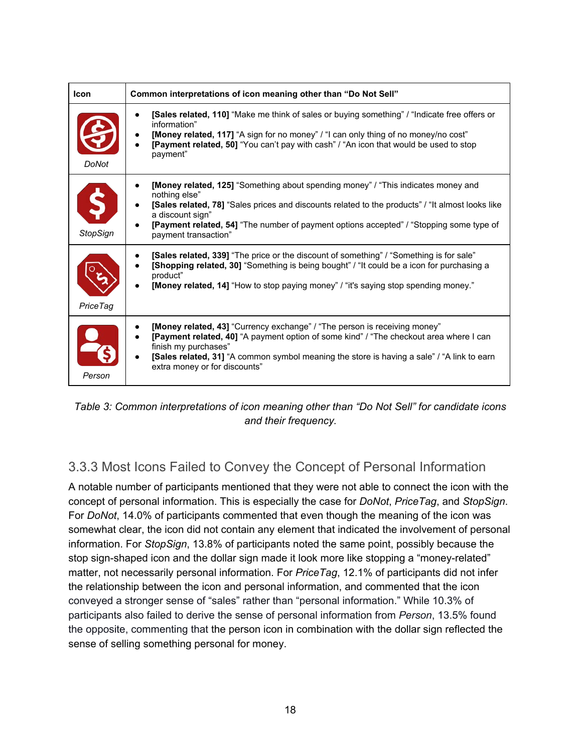| <b>Icon</b>          | Common interpretations of icon meaning other than "Do Not Sell"                                                                                                                                                                                                                                                                                      |
|----------------------|------------------------------------------------------------------------------------------------------------------------------------------------------------------------------------------------------------------------------------------------------------------------------------------------------------------------------------------------------|
| <b>DoNot</b>         | [Sales related, 110] "Make me think of sales or buying something" / "Indicate free offers or<br>information"<br>[Money related, 117] "A sign for no money" / "I can only thing of no money/no cost"<br>[Payment related, 50] "You can't pay with cash" / "An icon that would be used to stop<br>payment"                                             |
| Ś<br><b>StopSign</b> | <b>[Money related, 125]</b> "Something about spending money" / "This indicates money and<br>nothing else"<br>[Sales related, 78] "Sales prices and discounts related to the products" / "It almost looks like<br>a discount sign"<br>[Payment related, 54] "The number of payment options accepted" / "Stopping some type of<br>payment transaction" |
| Price Tag            | <b>[Sales related, 339]</b> "The price or the discount of something" / "Something is for sale"<br>[Shopping related, 30] "Something is being bought" / "It could be a icon for purchasing a<br>product"<br>[Money related, 14] "How to stop paying money" / "it's saying stop spending money."                                                       |
| Person               | [Money related, 43] "Currency exchange" / "The person is receiving money"<br>[Payment related, 40] "A payment option of some kind" / "The checkout area where I can<br>finish my purchases"<br>[Sales related, 31] "A common symbol meaning the store is having a sale" / "A link to earn<br>extra money or for discounts"                           |

 *Table 3: Common interpretations of icon meaning other than "Do Not Sell" for candidate icons and their frequency.*

## <span id="page-18-0"></span>3.3.3 Most Icons Failed to Convey the Concept of Personal Information

 A notable number of participants mentioned that they were not able to connect the icon with the concept of personal information. This is especially the case for *DoNot*, *PriceTag*, and *StopSign*. For *DoNot*, 14.0% of participants commented that even though the meaning of the icon was somewhat clear, the icon did not contain any element that indicated the involvement of personal information. For *StopSign*, 13.8% of participants noted the same point, possibly because the stop sign-shaped icon and the dollar sign made it look more like stopping a "money-related" matter, not necessarily personal information. For *PriceTag*, 12.1% of participants did not infer the relationship between the icon and personal information, and commented that the icon conveyed a stronger sense of "sales" rather than "personal information." While 10.3% of participants also failed to derive the sense of personal information from *Person*, 13.5% found the opposite, commenting that the person icon in combination with the dollar sign reflected the sense of selling something personal for money.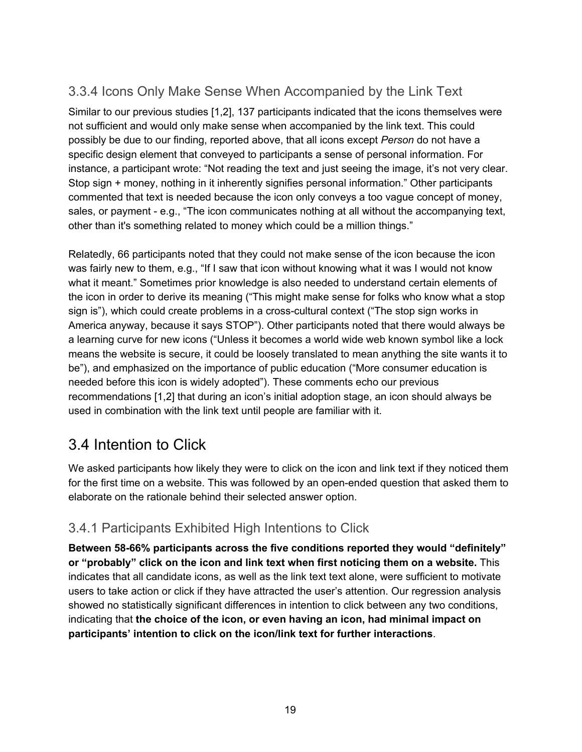### <span id="page-19-0"></span>3.3.4 Icons Only Make Sense When Accompanied by the Link Text

 Similar to our previous studies [1,2], 137 participants indicated that the icons themselves were not sufficient and would only make sense when accompanied by the link text. This could possibly be due to our finding, reported above, that all icons except *Person* do not have a specific design element that conveyed to participants a sense of personal information. For instance, a participant wrote: "Not reading the text and just seeing the image, it's not very clear. Stop sign + money, nothing in it inherently signifies personal information." Other participants commented that text is needed because the icon only conveys a too vague concept of money, sales, or payment - e.g., "The icon communicates nothing at all without the accompanying text, other than it's something related to money which could be a million things."

 Relatedly, 66 participants noted that they could not make sense of the icon because the icon was fairly new to them, e.g., "If I saw that icon without knowing what it was I would not know what it meant." Sometimes prior knowledge is also needed to understand certain elements of the icon in order to derive its meaning ("This might make sense for folks who know what a stop sign is"), which could create problems in a cross-cultural context ("The stop sign works in America anyway, because it says STOP"). Other participants noted that there would always be a learning curve for new icons ("Unless it becomes a world wide web known symbol like a lock means the website is secure, it could be loosely translated to mean anything the site wants it to be"), and emphasized on the importance of public education ("More consumer education is needed before this icon is widely adopted"). These comments echo our previous recommendations [1,2] that during an icon's initial adoption stage, an icon should always be used in combination with the link text until people are familiar with it.

# <span id="page-19-1"></span>3.4 Intention to Click

 We asked participants how likely they were to click on the icon and link text if they noticed them for the first time on a website. This was followed by an open-ended question that asked them to elaborate on the rationale behind their selected answer option.

### <span id="page-19-2"></span>3.4.1 Participants Exhibited High Intentions to Click

 **Between 58-66% participants across the five conditions reported they would "definitely" or "probably" click on the icon and link text when first noticing them on a website.** This indicates that all candidate icons, as well as the link text text alone, were sufficient to motivate users to take action or click if they have attracted the user's attention. Our regression analysis showed no statistically significant differences in intention to click between any two conditions, indicating that **the choice of the icon, or even having an icon, had minimal impact on participants' intention to click on the icon/link text for further interactions**.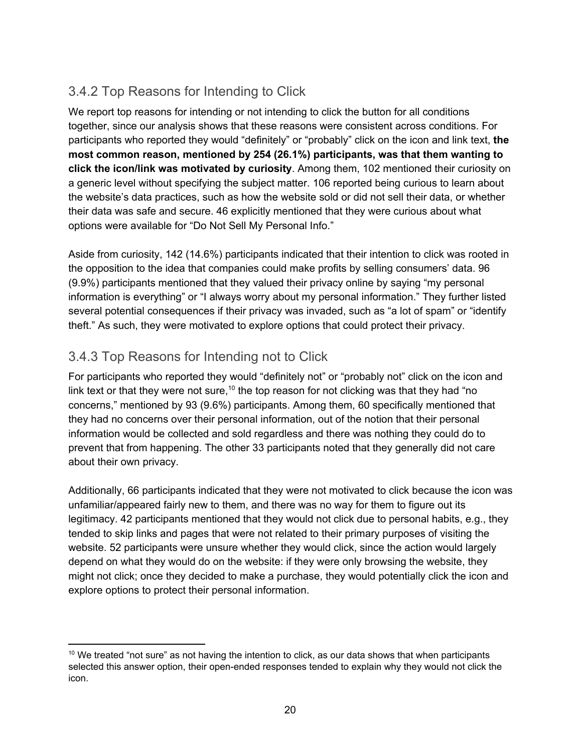### <span id="page-20-0"></span>3.4.2 Top Reasons for Intending to Click

 We report top reasons for intending or not intending to click the button for all conditions together, since our analysis shows that these reasons were consistent across conditions. For participants who reported they would "definitely" or "probably" click on the icon and link text, **the most common reason, mentioned by 254 (26.1%) participants, was that them wanting to click the icon/link was motivated by curiosity**. Among them, 102 mentioned their curiosity on a generic level without specifying the subject matter. 106 reported being curious to learn about the website's data practices, such as how the website sold or did not sell their data, or whether their data was safe and secure. 46 explicitly mentioned that they were curious about what options were available for "Do Not Sell My Personal Info."

 Aside from curiosity, 142 (14.6%) participants indicated that their intention to click was rooted in the opposition to the idea that companies could make profits by selling consumers' data. 96 (9.9%) participants mentioned that they valued their privacy online by saying "my personal information is everything" or "I always worry about my personal information." They further listed several potential consequences if their privacy was invaded, such as "a lot of spam" or "identify theft." As such, they were motivated to explore options that could protect their privacy.

### <span id="page-20-1"></span>3.4.3 Top Reasons for Intending not to Click

 For participants who reported they would "definitely not" or "probably not" click on the icon and link text or that they were not sure, $^{\mathsf{10}}$  the top reason for not clicking was that they had "no concerns," mentioned by 93 (9.6%) participants. Among them, 60 specifically mentioned that they had no concerns over their personal information, out of the notion that their personal information would be collected and sold regardless and there was nothing they could do to prevent that from happening. The other 33 participants noted that they generally did not care about their own privacy.

 Additionally, 66 participants indicated that they were not motivated to click because the icon was unfamiliar/appeared fairly new to them, and there was no way for them to figure out its legitimacy. 42 participants mentioned that they would not click due to personal habits, e.g., they tended to skip links and pages that were not related to their primary purposes of visiting the website. 52 participants were unsure whether they would click, since the action would largely depend on what they would do on the website: if they were only browsing the website, they might not click; once they decided to make a purchase, they would potentially click the icon and explore options to protect their personal information.

 $^{\text{10}}$  We treated "not sure" as not having the intention to click, as our data shows that when participants selected this answer option, their open-ended responses tended to explain why they would not click the icon.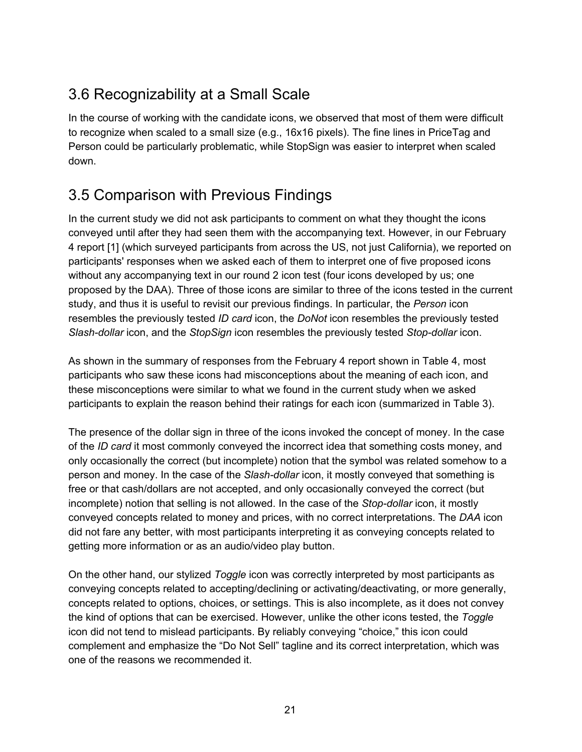# <span id="page-21-0"></span>3.6 Recognizability at a Small Scale

 In the course of working with the candidate icons, we observed that most of them were difficult Person could be particularly problematic, while StopSign was easier to interpret when scaled to recognize when scaled to a small size (e.g., 16x16 pixels). The fine lines in PriceTag and down.

# <span id="page-21-1"></span>3.5 Comparison with Previous Findings

 In the current study we did not ask participants to comment on what they thought the icons conveyed until after they had seen them with the accompanying text. However, in our February 4 report [1] (which surveyed participants from across the US, not just California), we reported on participants' responses when we asked each of them to interpret one of five proposed icons without any accompanying text in our round 2 icon test (four icons developed by us; one proposed by the DAA). Three of those icons are similar to three of the icons tested in the current study, and thus it is useful to revisit our previous findings. In particular, the *Person* icon resembles the previously tested *ID card* icon, the *DoNot* icon resembles the previously tested *Slash-dollar* icon, and the *StopSign* icon resembles the previously tested *Stop-dollar* icon.

 As shown in the summary of responses from the February 4 report shown in Table 4, most participants who saw these icons had misconceptions about the meaning of each icon, and these misconceptions were similar to what we found in the current study when we asked participants to explain the reason behind their ratings for each icon (summarized in Table 3).

 The presence of the dollar sign in three of the icons invoked the concept of money. In the case of the *ID card* it most commonly conveyed the incorrect idea that something costs money, and only occasionally the correct (but incomplete) notion that the symbol was related somehow to a person and money. In the case of the *Slash-dollar* icon, it mostly conveyed that something is free or that cash/dollars are not accepted, and only occasionally conveyed the correct (but incomplete) notion that selling is not allowed. In the case of the *Stop-dollar* icon, it mostly conveyed concepts related to money and prices, with no correct interpretations. The *DAA* icon did not fare any better, with most participants interpreting it as conveying concepts related to getting more information or as an audio/video play button.

 On the other hand, our stylized *Toggle* icon was correctly interpreted by most participants as conveying concepts related to accepting/declining or activating/deactivating, or more generally, concepts related to options, choices, or settings. This is also incomplete, as it does not convey the kind of options that can be exercised. However, unlike the other icons tested, the *Toggle* icon did not tend to mislead participants. By reliably conveying "choice," this icon could complement and emphasize the "Do Not Sell" tagline and its correct interpretation, which was one of the reasons we recommended it.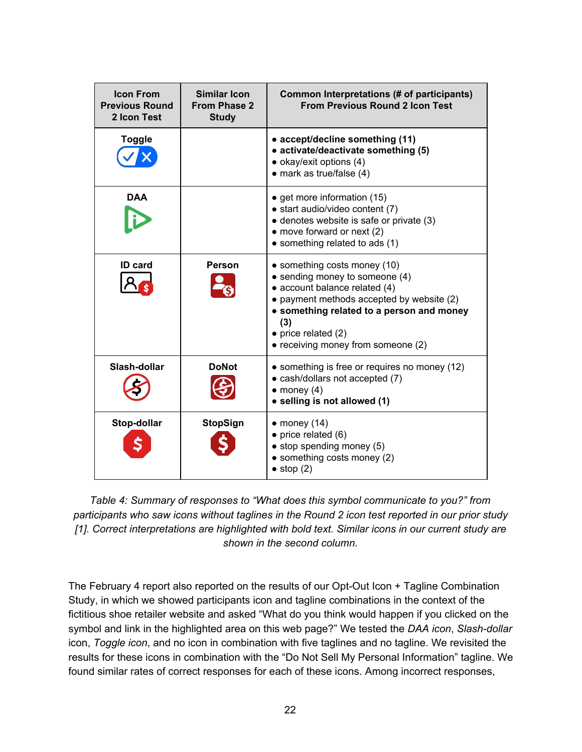| <b>Icon From</b><br><b>Previous Round</b><br>2 Icon Test | Similar Icon<br>From Phase 2<br><b>Study</b> | Common Interpretations (# of participants)<br><b>From Previous Round 2 Icon Test</b>                                                                                                                                                                          |
|----------------------------------------------------------|----------------------------------------------|---------------------------------------------------------------------------------------------------------------------------------------------------------------------------------------------------------------------------------------------------------------|
| Toggle                                                   |                                              | • accept/decline something (11)<br>• activate/deactivate something (5)<br>$\bullet$ okay/exit options (4)<br>$\bullet$ mark as true/false (4)                                                                                                                 |
| <b>DAA</b>                                               |                                              | • get more information (15)<br>• start audio/video content (7)<br>• denotes website is safe or private (3)<br>$\bullet$ move forward or next (2)<br>• something related to ads (1)                                                                            |
| <b>ID</b> card                                           | <b>Person</b>                                | • something costs money (10)<br>• sending money to someone (4)<br>• account balance related (4)<br>• payment methods accepted by website (2)<br>• something related to a person and money<br>(3)<br>• price related (2)<br>• receiving money from someone (2) |
| Slash-dollar                                             | <b>DoNot</b>                                 | • something is free or requires no money (12)<br>• cash/dollars not accepted (7)<br>$\bullet$ money (4)<br>• selling is not allowed (1)                                                                                                                       |
| Stop-dollar                                              | <b>StopSign</b>                              | $\bullet$ money (14)<br>$\bullet$ price related (6)<br>$\bullet$ stop spending money (5)<br>$\bullet$ something costs money (2)<br>$\bullet$ stop (2)                                                                                                         |

 *Table 4: Summary of responses to "What does this symbol communicate to you?" from participants who saw icons without taglines in the Round 2 icon test reported in our prior study [1]. Correct interpretations are highlighted with bold text. Similar icons in our current study are shown in the second column.*

 The February 4 report also reported on the results of our Opt-Out Icon + Tagline Combination Study, in which we showed participants icon and tagline combinations in the context of the fictitious shoe retailer website and asked "What do you think would happen if you clicked on the symbol and link in the highlighted area on this web page?" We tested the *DAA icon*, *Slash-dollar* icon, *Toggle icon*, and no icon in combination with five taglines and no tagline. We revisited the results for these icons in combination with the "Do Not Sell My Personal Information" tagline. We found similar rates of correct responses for each of these icons. Among incorrect responses,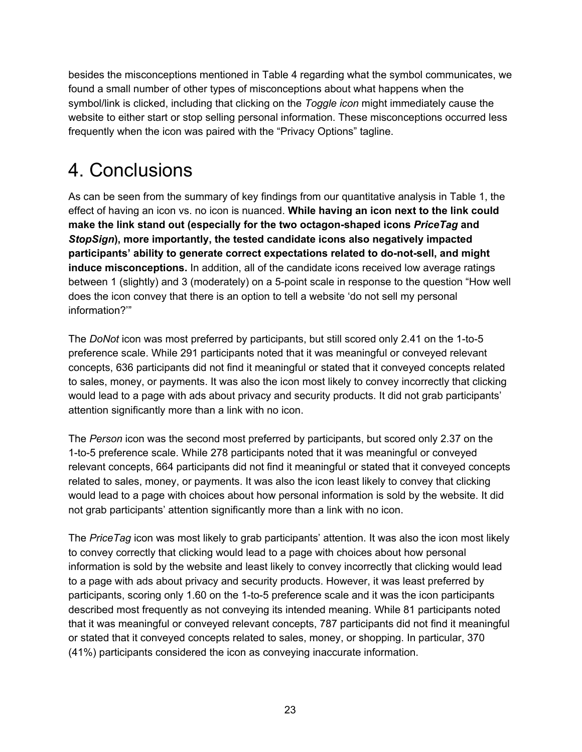besides the misconceptions mentioned in Table 4 regarding what the symbol communicates, we found a small number of other types of misconceptions about what happens when the symbol/link is clicked, including that clicking on the *Toggle icon* might immediately cause the website to either start or stop selling personal information. These misconceptions occurred less frequently when the icon was paired with the "Privacy Options" tagline.

# <span id="page-23-0"></span>4. Conclusions

 As can be seen from the summary of key findings from our quantitative analysis in Table 1, the effect of having an icon vs. no icon is nuanced. **While having an icon next to the link could make the link stand out (especially for the two octagon-shaped icons** *PriceTag* **and**  *StopSign***), more importantly, the tested candidate icons also negatively impacted participants' ability to generate correct expectations related to do-not-sell, and might induce misconceptions.** In addition, all of the candidate icons received low average ratings between 1 (slightly) and 3 (moderately) on a 5-point scale in response to the question "How well does the icon convey that there is an option to tell a website 'do not sell my personal information?'"

 The *DoNot* icon was most preferred by participants, but still scored only 2.41 on the 1-to-5 preference scale. While 291 participants noted that it was meaningful or conveyed relevant concepts, 636 participants did not find it meaningful or stated that it conveyed concepts related to sales, money, or payments. It was also the icon most likely to convey incorrectly that clicking would lead to a page with ads about privacy and security products. It did not grab participants' attention significantly more than a link with no icon.

 The *Person* icon was the second most preferred by participants, but scored only 2.37 on the 1-to-5 preference scale. While 278 participants noted that it was meaningful or conveyed relevant concepts, 664 participants did not find it meaningful or stated that it conveyed concepts related to sales, money, or payments. It was also the icon least likely to convey that clicking would lead to a page with choices about how personal information is sold by the website. It did not grab participants' attention significantly more than a link with no icon.

 The *PriceTag* icon was most likely to grab participants' attention. It was also the icon most likely to convey correctly that clicking would lead to a page with choices about how personal information is sold by the website and least likely to convey incorrectly that clicking would lead to a page with ads about privacy and security products. However, it was least preferred by participants, scoring only 1.60 on the 1-to-5 preference scale and it was the icon participants described most frequently as not conveying its intended meaning. While 81 participants noted that it was meaningful or conveyed relevant concepts, 787 participants did not find it meaningful or stated that it conveyed concepts related to sales, money, or shopping. In particular, 370 (41%) participants considered the icon as conveying inaccurate information.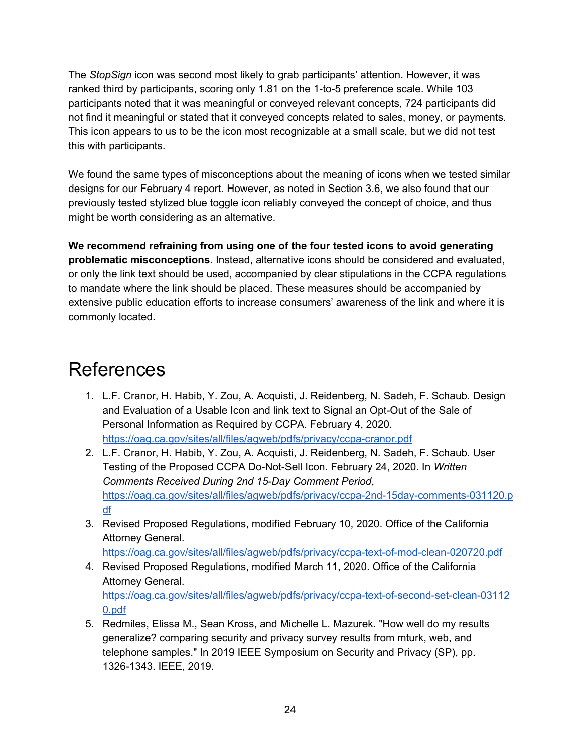The *StopSign* icon was second most likely to grab participants' attention. However, it was ranked third by participants, scoring only 1.81 on the 1-to-5 preference scale. While 103 participants noted that it was meaningful or conveyed relevant concepts, 724 participants did not find it meaningful or stated that it conveyed concepts related to sales, money, or payments. This icon appears to us to be the icon most recognizable at a small scale, but we did not test this with participants.

 We found the same types of misconceptions about the meaning of icons when we tested similar designs for our February 4 report. However, as noted in Section 3.6, we also found that our previously tested stylized blue toggle icon reliably conveyed the concept of choice, and thus might be worth considering as an alternative.

 **We recommend refraining from using one of the four tested icons to avoid generating problematic misconceptions.** Instead, alternative icons should be considered and evaluated, or only the link text should be used, accompanied by clear stipulations in the CCPA regulations to mandate where the link should be placed. These measures should be accompanied by extensive public education efforts to increase consumers' awareness of the link and where it is commonly located.

# <span id="page-24-0"></span>References

- 1. L.F. Cranor, H. Habib, Y. Zou, A. Acquisti, J. Reidenberg, N. Sadeh, F. Schaub. Design and Evaluation of a Usable Icon and link text to Signal an Opt-Out of the Sale of Personal Information as Required by CCPA. February 4, 2020. <https://oag.ca.gov/sites/all/files/agweb/pdfs/privacy/ccpa-cranor.pdf>
- 2. L.F. Cranor, H. Habib, Y. Zou, A. Acquisti, J. Reidenberg, N. Sadeh, F. Schaub. User Testing of the Proposed CCPA Do-Not-Sell Icon. February 24, 2020. In *Written Comments Received During 2nd 15-Day Comment Period*, [https://oag.ca.gov/sites/all/files/agweb/pdfs/privacy/ccpa-2nd-15day-comments-031120.p](https://oag.ca.gov/sites/all/files/agweb/pdfs/privacy/ccpa-2nd-15day-comments-031120.pdf) [df](https://oag.ca.gov/sites/all/files/agweb/pdfs/privacy/ccpa-2nd-15day-comments-031120.pdf)
- 3. Revised Proposed Regulations, modified February 10, 2020. Office of the California Attorney General.

```
https://oag.ca.gov/sites/all/files/agweb/pdfs/privacy/ccpa-text-of-mod-clean-020720.pdf
```
 4. Revised Proposed Regulations, modified March 11, 2020. Office of the California Attorney General. [https://oag.ca.gov/sites/all/files/agweb/pdfs/privacy/ccpa-text-of-second-set-clean-03112](https://oag.ca.gov/sites/all/files/agweb/pdfs/privacy/ccpa-text-of-second-set-clean-031120.pdf)

[0.pdf](https://oag.ca.gov/sites/all/files/agweb/pdfs/privacy/ccpa-text-of-second-set-clean-031120.pdf)

 5. Redmiles, Elissa M., Sean Kross, and Michelle L. Mazurek. "How well do my results generalize? comparing security and privacy survey results from mturk, web, and telephone samples." In 2019 IEEE Symposium on Security and Privacy (SP), pp. 1326-1343. IEEE, 2019.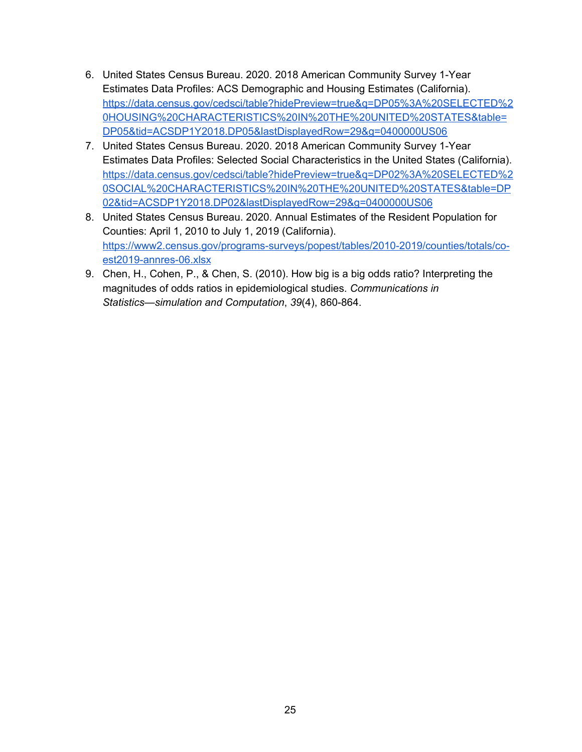- 6. United States Census Bureau. 2020. 2018 American Community Survey 1-Year Estimates Data Profiles: ACS Demographic and Housing Estimates (California). [https://data.census.gov/cedsci/table?hidePreview=true&q=DP05%3A%20SELECTED%2](https://data.census.gov/cedsci/table?hidePreview=true&q=DP05%3A%20SELECTED%20HOUSING%20CHARACTERISTICS%20IN%20THE%20UNITED%20STATES&table=DP05&tid=ACSDP1Y2018.DP05&lastDisplayedRow=29&g=0400000US06) [0HOUSING%20CHARACTERISTICS%20IN%20THE%20UNITED%20STATES&table=](https://data.census.gov/cedsci/table?hidePreview=true&q=DP05%3A%20SELECTED%20HOUSING%20CHARACTERISTICS%20IN%20THE%20UNITED%20STATES&table=DP05&tid=ACSDP1Y2018.DP05&lastDisplayedRow=29&g=0400000US06) [DP05&tid=ACSDP1Y2018.DP05&lastDisplayedRow=29&g=0400000US06](https://data.census.gov/cedsci/table?hidePreview=true&q=DP05%3A%20SELECTED%20HOUSING%20CHARACTERISTICS%20IN%20THE%20UNITED%20STATES&table=DP05&tid=ACSDP1Y2018.DP05&lastDisplayedRow=29&g=0400000US06)
- 7. United States Census Bureau. 2020. 2018 American Community Survey 1-Year Estimates Data Profiles: Selected Social Characteristics in the United States (California). [https://data.census.gov/cedsci/table?hidePreview=true&q=DP02%3A%20SELECTED%2](https://data.census.gov/cedsci/table?hidePreview=true&q=DP02%3A%20SELECTED%20SOCIAL%20CHARACTERISTICS%20IN%20THE%20UNITED%20STATES&table=DP02&tid=ACSDP1Y2018.DP02&lastDisplayedRow=29&g=0400000US06) [0SOCIAL%20CHARACTERISTICS%20IN%20THE%20UNITED%20STATES&table=DP](https://data.census.gov/cedsci/table?hidePreview=true&q=DP02%3A%20SELECTED%20SOCIAL%20CHARACTERISTICS%20IN%20THE%20UNITED%20STATES&table=DP02&tid=ACSDP1Y2018.DP02&lastDisplayedRow=29&g=0400000US06) [02&tid=ACSDP1Y2018.DP02&lastDisplayedRow=29&g=0400000US06](https://data.census.gov/cedsci/table?hidePreview=true&q=DP02%3A%20SELECTED%20SOCIAL%20CHARACTERISTICS%20IN%20THE%20UNITED%20STATES&table=DP02&tid=ACSDP1Y2018.DP02&lastDisplayedRow=29&g=0400000US06)
- 8. United States Census Bureau. 2020. Annual Estimates of the Resident Population for Counties: April 1, 2010 to July 1, 2019 (California). [https://www2.census.gov/programs-surveys/popest/tables/2010-2019/counties/totals/co](https://www2.census.gov/programs-surveys/popest/tables/2010-2019/counties/totals/co-est2019-annres-06.xlsx)[est2019-annres-06.xlsx](https://www2.census.gov/programs-surveys/popest/tables/2010-2019/counties/totals/co-est2019-annres-06.xlsx)
- 9. Chen, H., Cohen, P., & Chen, S. (2010). How big is a big odds ratio? Interpreting the magnitudes of odds ratios in epidemiological studies. *Communications in Statistics—simulation and Computation*, *39*(4), 860-864.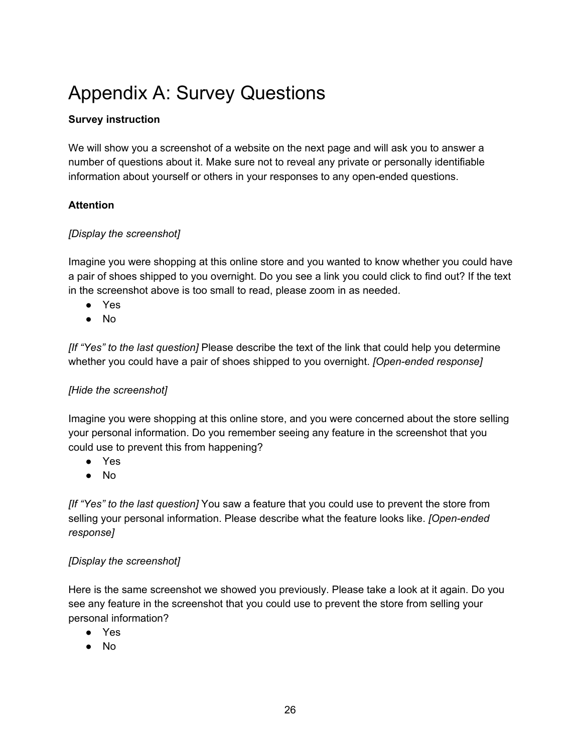# <span id="page-26-0"></span>Appendix A: Survey Questions

### **Survey instruction**

 We will show you a screenshot of a website on the next page and will ask you to answer a number of questions about it. Make sure not to reveal any private or personally identifiable information about yourself or others in your responses to any open-ended questions.

#### **Attention**

#### *[Display the screenshot]*

 Imagine you were shopping at this online store and you wanted to know whether you could have a pair of shoes shipped to you overnight. Do you see a link you could click to find out? If the text in the screenshot above is too small to read, please zoom in as needed.

- Yes
- No

 *[If "Yes" to the last question]* Please describe the text of the link that could help you determine whether you could have a pair of shoes shipped to you overnight. *[Open-ended response]*

### *[Hide the screenshot]*

 Imagine you were shopping at this online store, and you were concerned about the store selling your personal information. Do you remember seeing any feature in the screenshot that you could use to prevent this from happening?

- Yes
- No

 *[If "Yes" to the last question]* You saw a feature that you could use to prevent the store from selling your personal information. Please describe what the feature looks like. *[Open-ended response]*

#### *[Display the screenshot]*

 Here is the same screenshot we showed you previously. Please take a look at it again. Do you see any feature in the screenshot that you could use to prevent the store from selling your personal information?

- Yes
- No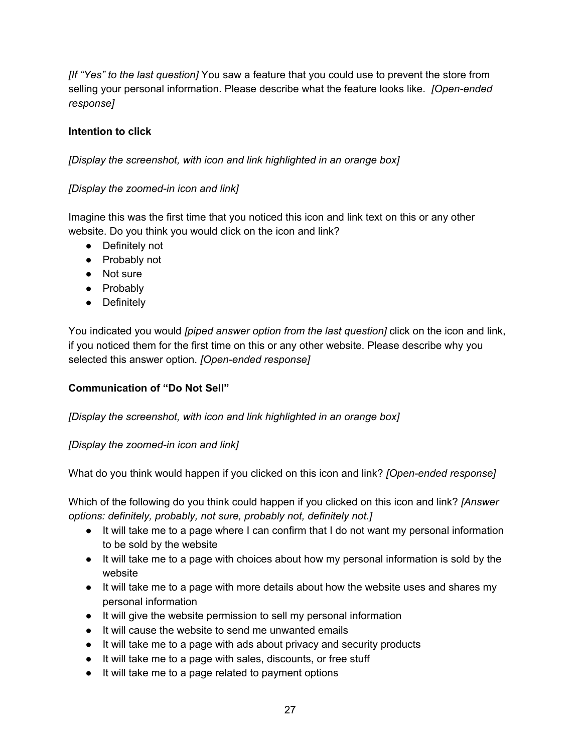*[If "Yes" to the last question]* You saw a feature that you could use to prevent the store from selling your personal information. Please describe what the feature looks like. *[Open-ended response]*

### **Intention to click**

 *[Display the screenshot, with icon and link highlighted in an orange box]*

### *[Display the zoomed-in icon and link]*

 Imagine this was the first time that you noticed this icon and link text on this or any other website. Do you think you would click on the icon and link?

- Definitely not
- Probably not
- Not sure
- Probablv
- Definitely

 You indicated you would *[piped answer option from the last question]* click on the icon and link, if you noticed them for the first time on this or any other website. Please describe why you selected this answer option. *[Open-ended response]*

### **Communication of "Do Not Sell"**

 *[Display the screenshot, with icon and link highlighted in an orange box]*

#### *[Display the zoomed-in icon and link]*

What do you think would happen if you clicked on this icon and link? *[Open-ended response]*

 Which of the following do you think could happen if you clicked on this icon and link? *[Answer options: definitely, probably, not sure, probably not, definitely not.]*

- ● It will take me to a page where I can confirm that I do not want my personal information to be sold by the website
- ● It will take me to a page with choices about how my personal information is sold by the website
- It will take me to a page with more details about how the website uses and shares my personal information
- It will give the website permission to sell my personal information
- It will cause the website to send me unwanted emails
- It will take me to a page with ads about privacy and security products
- It will take me to a page with sales, discounts, or free stuff
- It will take me to a page related to payment options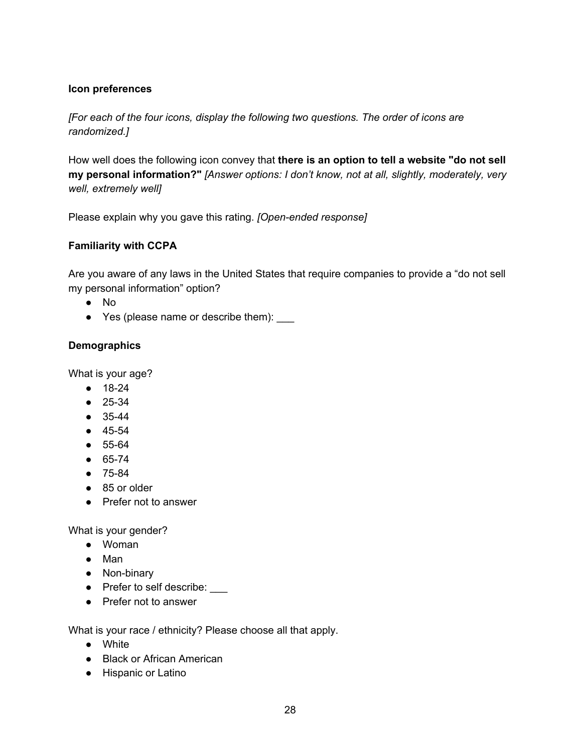#### **Icon preferences**

 *[For each of the four icons, display the following two questions. The order of icons are randomized.]*

 How well does the following icon convey that **there is an option to tell a website "do not sell my personal information?"** *[Answer options: I don't know, not at all, slightly, moderately, very well, extremely well]*

Please explain why you gave this rating. *[Open-ended response]*

### **Familiarity with CCPA**

 Are you aware of any laws in the United States that require companies to provide a "do not sell my personal information" option?

- No
- Yes (please name or describe them):  $_$

#### **Demographics**

What is your age?

- 18-24
- 25-34
- 35-44
- 45-54
- 55-64
- 65-74
- 75-84
- 85 or older
- Prefer not to answer

What is your gender?

- Woman
- Man
- Non-binary
- Prefer to self describe: <u>Letter</u>
- Prefer not to answer

What is your race / ethnicity? Please choose all that apply.

- White
- Black or African American
- Hispanic or Latino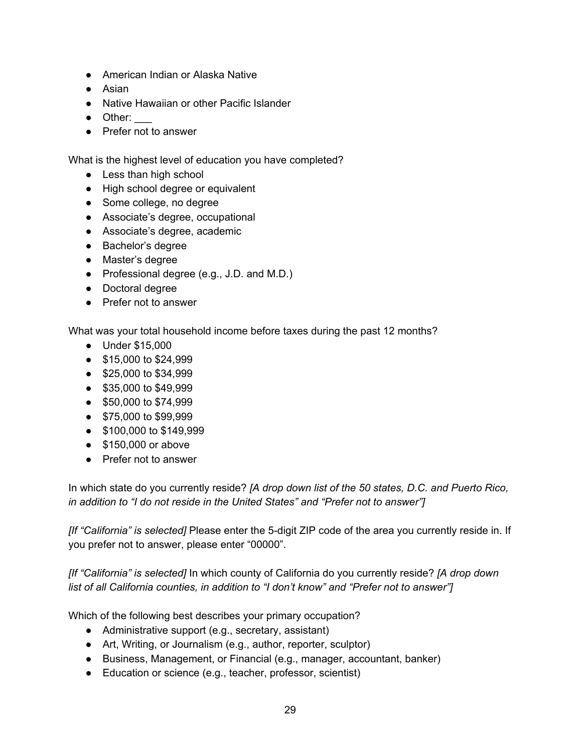- American Indian or Alaska Native
- Asian
- Native Hawaiian or other Pacific Islander
- Other:
- Prefer not to answer

What is the highest level of education you have completed?

- Less than high school
- High school degree or equivalent
- Some college, no degree
- Associate's degree, occupational
- Associate's degree, academic
- Bachelor's degree
- Master's degree
- Professional degree (e.g., J.D. and M.D.)
- Doctoral degree
- Prefer not to answer

What was your total household income before taxes during the past 12 months?

- Under \$15,000
- \$15,000 to \$24,999
- \$25,000 to \$34,999
- \$35,000 to \$49,999
- \$50,000 to \$74,999
- \$75,000 to \$99,999
- \$100,000 to \$149,999
- \$150,000 or above
- Prefer not to answer

 In which state do you currently reside? *[A drop down list of the 50 states, D.C. and Puerto Rico, in addition to "I do not reside in the United States" and "Prefer not to answer"]*

 *[If "California" is selected]* Please enter the 5-digit ZIP code of the area you currently reside in. If you prefer not to answer, please enter "00000".

 *[If "California" is selected]* In which county of California do you currently reside? *[A drop down list of all California counties, in addition to "I don't know" and "Prefer not to answer"]*

Which of the following best describes your primary occupation?

- Administrative support (e.g., secretary, assistant)
- Art, Writing, or Journalism (e.g., author, reporter, sculptor)
- Business, Management, or Financial (e.g., manager, accountant, banker)
- Education or science (e.g., teacher, professor, scientist)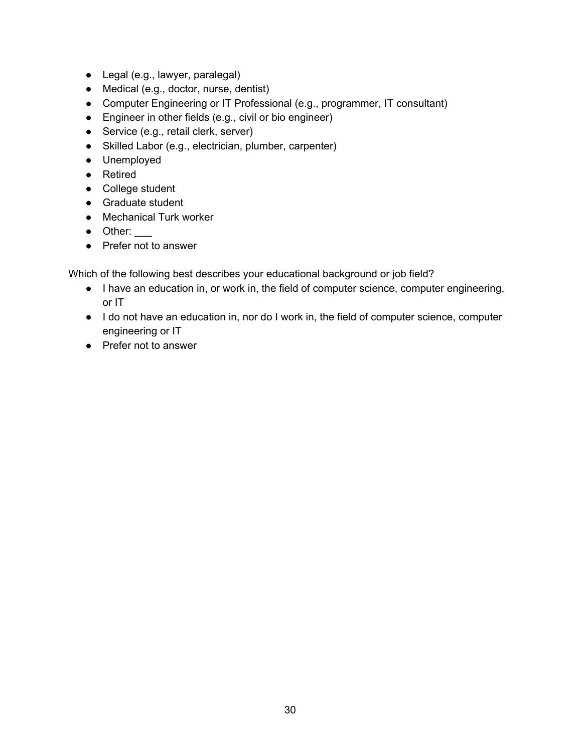- Legal (e.g., lawyer, paralegal)
- Medical (e.g., doctor, nurse, dentist)
- Computer Engineering or IT Professional (e.g., programmer, IT consultant)
- Engineer in other fields (e.g., civil or bio engineer)
- Service (e.g., retail clerk, server)
- Skilled Labor (e.g., electrician, plumber, carpenter)
- Unemployed
- Retired
- College student
- Graduate student
- Mechanical Turk worker
- Other:
- Prefer not to answer

Which of the following best describes your educational background or job field?

- ● I have an education in, or work in, the field of computer science, computer engineering, or IT
- ● I do not have an education in, nor do I work in, the field of computer science, computer engineering or IT
- Prefer not to answer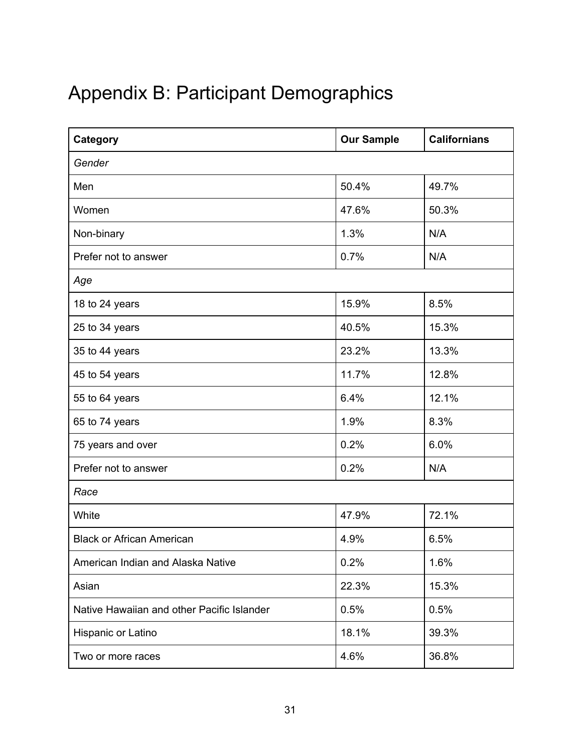# <span id="page-31-0"></span>Appendix B: Participant Demographics

| Category                                   | <b>Our Sample</b> | <b>Californians</b> |
|--------------------------------------------|-------------------|---------------------|
| Gender                                     |                   |                     |
| Men                                        | 50.4%             | 49.7%               |
| Women                                      | 47.6%             | 50.3%               |
| Non-binary                                 | 1.3%              | N/A                 |
| Prefer not to answer                       | 0.7%              | N/A                 |
| Age                                        |                   |                     |
| 18 to 24 years                             | 15.9%             | 8.5%                |
| 25 to 34 years                             | 40.5%             | 15.3%               |
| 35 to 44 years                             | 23.2%             | 13.3%               |
| 45 to 54 years                             | 11.7%             | 12.8%               |
| 55 to 64 years                             | 6.4%              | 12.1%               |
| 65 to 74 years                             | 1.9%              | 8.3%                |
| 75 years and over                          | 0.2%              | 6.0%                |
| Prefer not to answer                       | 0.2%              | N/A                 |
| Race                                       |                   |                     |
| White                                      | 47.9%             | 72.1%               |
| <b>Black or African American</b>           | 4.9%              | 6.5%                |
| American Indian and Alaska Native          | 0.2%              | 1.6%                |
| Asian                                      | 22.3%             | 15.3%               |
| Native Hawaiian and other Pacific Islander | 0.5%              | 0.5%                |
| Hispanic or Latino                         | 18.1%             | 39.3%               |
| Two or more races                          | 4.6%              | 36.8%               |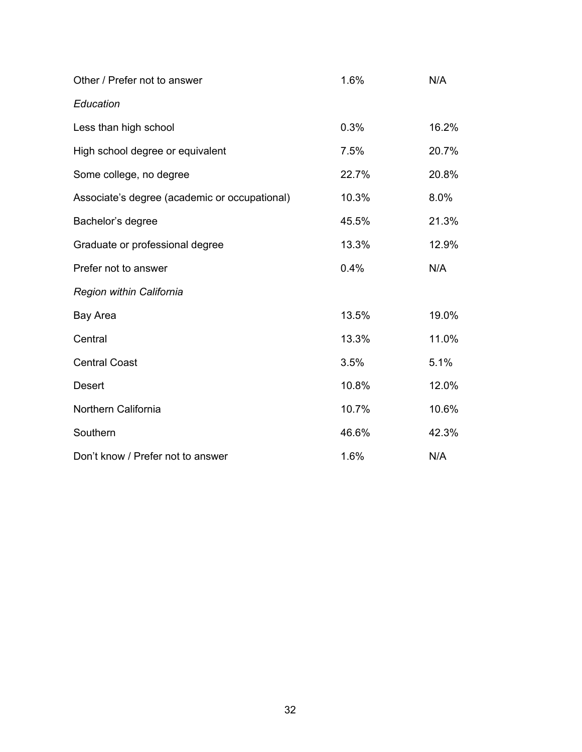| Other / Prefer not to answer                  | 1.6%  | N/A   |
|-----------------------------------------------|-------|-------|
| Education                                     |       |       |
| Less than high school                         | 0.3%  | 16.2% |
| High school degree or equivalent              | 7.5%  | 20.7% |
| Some college, no degree                       | 22.7% | 20.8% |
| Associate's degree (academic or occupational) | 10.3% | 8.0%  |
| Bachelor's degree                             | 45.5% | 21.3% |
| Graduate or professional degree               | 13.3% | 12.9% |
| Prefer not to answer                          | 0.4%  | N/A   |
| Region within California                      |       |       |
| Bay Area                                      | 13.5% | 19.0% |
| Central                                       | 13.3% | 11.0% |
| <b>Central Coast</b>                          | 3.5%  | 5.1%  |
| Desert                                        | 10.8% | 12.0% |
| Northern California                           | 10.7% | 10.6% |
| Southern                                      | 46.6% | 42.3% |
| Don't know / Prefer not to answer             | 1.6%  | N/A   |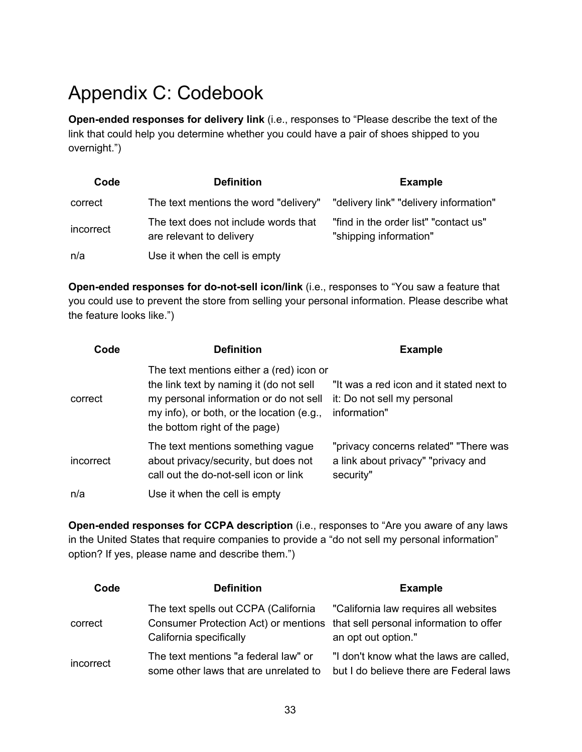# <span id="page-33-0"></span>Appendix C: Codebook

 **Open-ended responses for delivery link** (i.e., responses to "Please describe the text of the link that could help you determine whether you could have a pair of shoes shipped to you overnight.")

| Code      | <b>Definition</b>                                                | <b>Example</b>                                                  |
|-----------|------------------------------------------------------------------|-----------------------------------------------------------------|
| correct   | The text mentions the word "delivery"                            | "delivery link" "delivery information"                          |
| incorrect | The text does not include words that<br>are relevant to delivery | "find in the order list" "contact us"<br>"shipping information" |
| n/a       | Use it when the cell is empty                                    |                                                                 |

 **Open-ended responses for do-not-sell icon/link** (i.e., responses to "You saw a feature that you could use to prevent the store from selling your personal information. Please describe what the feature looks like.")

| Code      | <b>Definition</b>                                                                                                                                                                                           | <b>Example</b>                                                                           |
|-----------|-------------------------------------------------------------------------------------------------------------------------------------------------------------------------------------------------------------|------------------------------------------------------------------------------------------|
| correct   | The text mentions either a (red) icon or<br>the link text by naming it (do not sell<br>my personal information or do not sell<br>my info), or both, or the location (e.g.,<br>the bottom right of the page) | "It was a red icon and it stated next to<br>it: Do not sell my personal<br>information"  |
| incorrect | The text mentions something vague<br>about privacy/security, but does not<br>call out the do-not-sell icon or link                                                                                          | "privacy concerns related" "There was<br>a link about privacy" "privacy and<br>security" |
| n/a       | Use it when the cell is empty                                                                                                                                                                               |                                                                                          |

 **Open-ended responses for CCPA description** (i.e., responses to "Are you aware of any laws in the United States that require companies to provide a "do not sell my personal information" option? If yes, please name and describe them.")

| Code      | <b>Definition</b>                                                                                                                               | <b>Example</b>                                                                     |
|-----------|-------------------------------------------------------------------------------------------------------------------------------------------------|------------------------------------------------------------------------------------|
| correct   | The text spells out CCPA (California<br>Consumer Protection Act) or mentions that sell personal information to offer<br>California specifically | "California law requires all websites<br>an opt out option."                       |
| incorrect | The text mentions "a federal law" or<br>some other laws that are unrelated to                                                                   | "I don't know what the laws are called,<br>but I do believe there are Federal laws |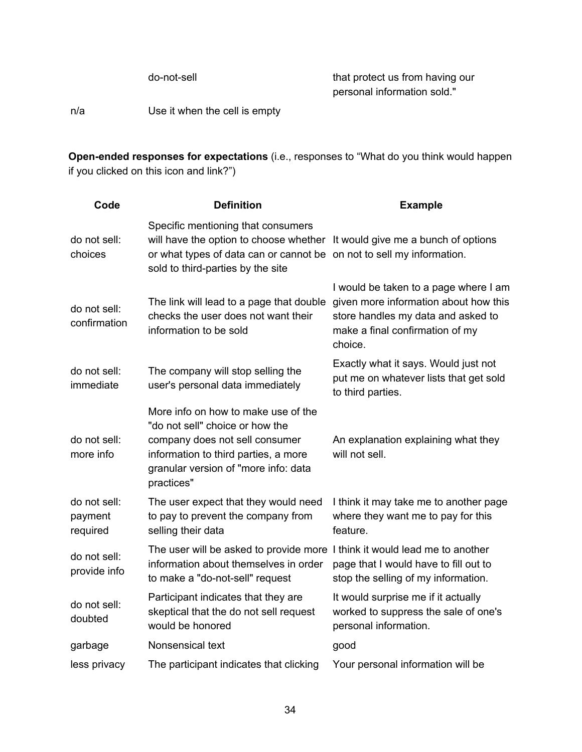do-not-sell that protect us from having our personal information sold."

n/a Use it when the cell is empty

 **Open-ended responses for expectations** (i.e., responses to "What do you think would happen if you clicked on this icon and link?")

| Code                                | <b>Definition</b>                                                                                                                                                                                                              | <b>Example</b>                                                                                                                                                     |
|-------------------------------------|--------------------------------------------------------------------------------------------------------------------------------------------------------------------------------------------------------------------------------|--------------------------------------------------------------------------------------------------------------------------------------------------------------------|
| do not sell:<br>choices             | Specific mentioning that consumers<br>will have the option to choose whether It would give me a bunch of options<br>or what types of data can or cannot be on not to sell my information.<br>sold to third-parties by the site |                                                                                                                                                                    |
| do not sell:<br>confirmation        | The link will lead to a page that double<br>checks the user does not want their<br>information to be sold                                                                                                                      | I would be taken to a page where I am<br>given more information about how this<br>store handles my data and asked to<br>make a final confirmation of my<br>choice. |
| do not sell:<br>immediate           | The company will stop selling the<br>user's personal data immediately                                                                                                                                                          | Exactly what it says. Would just not<br>put me on whatever lists that get sold<br>to third parties.                                                                |
| do not sell:<br>more info           | More info on how to make use of the<br>"do not sell" choice or how the<br>company does not sell consumer<br>information to third parties, a more<br>granular version of "more info: data<br>practices"                         | An explanation explaining what they<br>will not sell.                                                                                                              |
| do not sell:<br>payment<br>required | The user expect that they would need<br>to pay to prevent the company from<br>selling their data                                                                                                                               | I think it may take me to another page<br>where they want me to pay for this<br>feature.                                                                           |
| do not sell:<br>provide info        | The user will be asked to provide more I think it would lead me to another<br>information about themselves in order<br>to make a "do-not-sell" request                                                                         | page that I would have to fill out to<br>stop the selling of my information.                                                                                       |
| do not sell:<br>doubted             | Participant indicates that they are<br>skeptical that the do not sell request<br>would be honored                                                                                                                              | It would surprise me if it actually<br>worked to suppress the sale of one's<br>personal information.                                                               |
| garbage                             | Nonsensical text                                                                                                                                                                                                               | good                                                                                                                                                               |
| less privacy                        | The participant indicates that clicking                                                                                                                                                                                        | Your personal information will be                                                                                                                                  |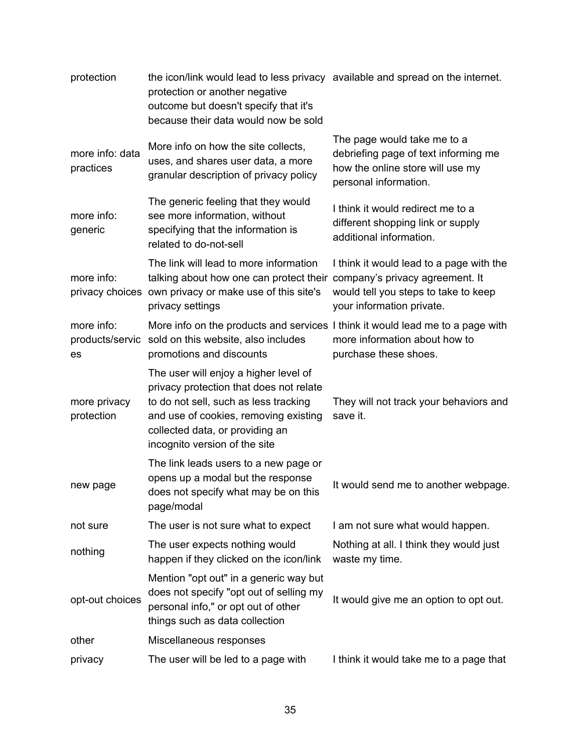| protection                   | the icon/link would lead to less privacy available and spread on the internet.<br>protection or another negative<br>outcome but doesn't specify that it's<br>because their data would now be sold                                      |                                                                                                                                                  |
|------------------------------|----------------------------------------------------------------------------------------------------------------------------------------------------------------------------------------------------------------------------------------|--------------------------------------------------------------------------------------------------------------------------------------------------|
| more info: data<br>practices | More info on how the site collects,<br>uses, and shares user data, a more<br>granular description of privacy policy                                                                                                                    | The page would take me to a<br>debriefing page of text informing me<br>how the online store will use my<br>personal information.                 |
| more info:<br>generic        | The generic feeling that they would<br>see more information, without<br>specifying that the information is<br>related to do-not-sell                                                                                                   | I think it would redirect me to a<br>different shopping link or supply<br>additional information.                                                |
| more info:                   | The link will lead to more information<br>talking about how one can protect their<br>privacy choices own privacy or make use of this site's<br>privacy settings                                                                        | I think it would lead to a page with the<br>company's privacy agreement. It<br>would tell you steps to take to keep<br>your information private. |
| more info:<br>es             | More info on the products and services I think it would lead me to a page with<br>products/servic sold on this website, also includes<br>promotions and discounts                                                                      | more information about how to<br>purchase these shoes.                                                                                           |
| more privacy<br>protection   | The user will enjoy a higher level of<br>privacy protection that does not relate<br>to do not sell, such as less tracking<br>and use of cookies, removing existing<br>collected data, or providing an<br>incognito version of the site | They will not track your behaviors and<br>save it.                                                                                               |
| new page                     | The link leads users to a new page or<br>opens up a modal but the response<br>does not specify what may be on this<br>page/modal                                                                                                       | It would send me to another webpage.                                                                                                             |
| not sure                     | The user is not sure what to expect                                                                                                                                                                                                    | I am not sure what would happen.                                                                                                                 |
| nothing                      | The user expects nothing would<br>happen if they clicked on the icon/link                                                                                                                                                              | Nothing at all. I think they would just<br>waste my time.                                                                                        |
| opt-out choices              | Mention "opt out" in a generic way but<br>does not specify "opt out of selling my<br>personal info," or opt out of other<br>things such as data collection                                                                             | It would give me an option to opt out.                                                                                                           |
| other                        | Miscellaneous responses                                                                                                                                                                                                                |                                                                                                                                                  |
| privacy                      | The user will be led to a page with                                                                                                                                                                                                    | I think it would take me to a page that                                                                                                          |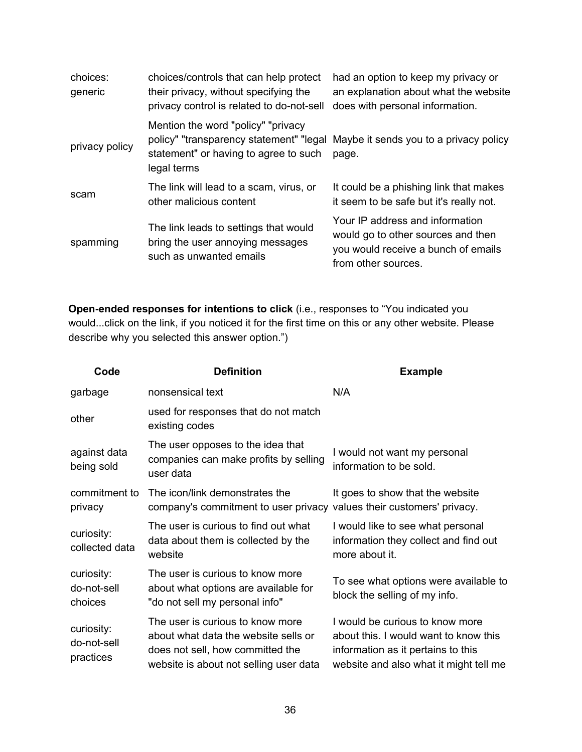| choices:<br>generic | choices/controls that can help protect<br>their privacy, without specifying the<br>privacy control is related to do-not-sell           | had an option to keep my privacy or<br>an explanation about what the website<br>does with personal information.                     |
|---------------------|----------------------------------------------------------------------------------------------------------------------------------------|-------------------------------------------------------------------------------------------------------------------------------------|
| privacy policy      | Mention the word "policy" "privacy"<br>policy" "transparency statement" "legal<br>statement" or having to agree to such<br>legal terms | Maybe it sends you to a privacy policy<br>page.                                                                                     |
| scam                | The link will lead to a scam, virus, or<br>other malicious content                                                                     | It could be a phishing link that makes<br>it seem to be safe but it's really not.                                                   |
| spamming            | The link leads to settings that would<br>bring the user annoying messages<br>such as unwanted emails                                   | Your IP address and information<br>would go to other sources and then<br>you would receive a bunch of emails<br>from other sources. |

 **Open-ended responses for intentions to click** (i.e., responses to "You indicated you would...click on the link, if you noticed it for the first time on this or any other website. Please describe why you selected this answer option.")

| Code                                   | <b>Definition</b>                                                                                                                                      | <b>Example</b>                                                                                                                                           |
|----------------------------------------|--------------------------------------------------------------------------------------------------------------------------------------------------------|----------------------------------------------------------------------------------------------------------------------------------------------------------|
| garbage                                | nonsensical text                                                                                                                                       | N/A                                                                                                                                                      |
| other                                  | used for responses that do not match<br>existing codes                                                                                                 |                                                                                                                                                          |
| against data<br>being sold             | The user opposes to the idea that<br>companies can make profits by selling<br>user data                                                                | I would not want my personal<br>information to be sold.                                                                                                  |
| commitment to<br>privacy               | The icon/link demonstrates the<br>company's commitment to user privacy values their customers' privacy.                                                | It goes to show that the website                                                                                                                         |
| curiosity:<br>collected data           | The user is curious to find out what<br>data about them is collected by the<br>website                                                                 | I would like to see what personal<br>information they collect and find out<br>more about it.                                                             |
| curiosity:<br>do-not-sell<br>choices   | The user is curious to know more<br>about what options are available for<br>"do not sell my personal info"                                             | To see what options were available to<br>block the selling of my info.                                                                                   |
| curiosity:<br>do-not-sell<br>practices | The user is curious to know more<br>about what data the website sells or<br>does not sell, how committed the<br>website is about not selling user data | I would be curious to know more<br>about this. I would want to know this<br>information as it pertains to this<br>website and also what it might tell me |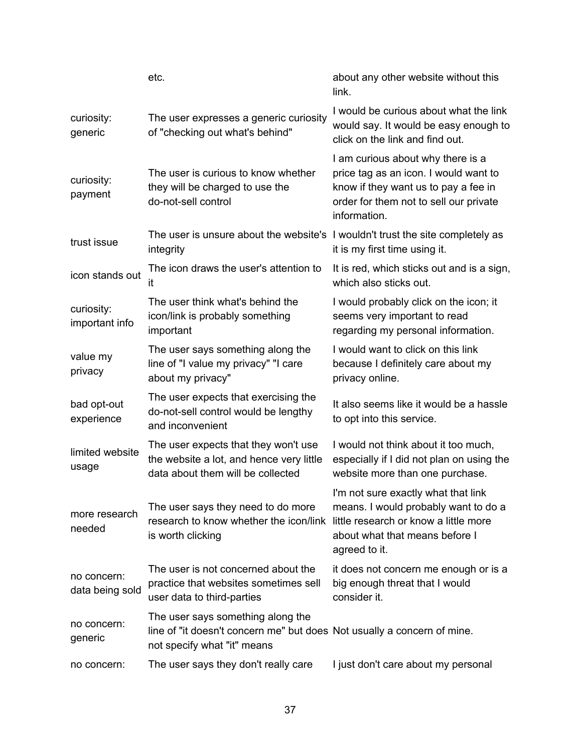|                                | etc.                                                                                                                                        | about any other website without this<br>link.                                                                                                                                |
|--------------------------------|---------------------------------------------------------------------------------------------------------------------------------------------|------------------------------------------------------------------------------------------------------------------------------------------------------------------------------|
| curiosity:<br>generic          | The user expresses a generic curiosity<br>of "checking out what's behind"                                                                   | I would be curious about what the link<br>would say. It would be easy enough to<br>click on the link and find out.                                                           |
| curiosity:<br>payment          | The user is curious to know whether<br>they will be charged to use the<br>do-not-sell control                                               | I am curious about why there is a<br>price tag as an icon. I would want to<br>know if they want us to pay a fee in<br>order for them not to sell our private<br>information. |
| trust issue                    | The user is unsure about the website's I wouldn't trust the site completely as<br>integrity                                                 | it is my first time using it.                                                                                                                                                |
| icon stands out                | The icon draws the user's attention to<br>it                                                                                                | It is red, which sticks out and is a sign,<br>which also sticks out.                                                                                                         |
| curiosity:<br>important info   | The user think what's behind the<br>icon/link is probably something<br>important                                                            | I would probably click on the icon; it<br>seems very important to read<br>regarding my personal information.                                                                 |
| value my<br>privacy            | The user says something along the<br>line of "I value my privacy" "I care<br>about my privacy"                                              | I would want to click on this link<br>because I definitely care about my<br>privacy online.                                                                                  |
| bad opt-out<br>experience      | The user expects that exercising the<br>do-not-sell control would be lengthy<br>and inconvenient                                            | It also seems like it would be a hassle<br>to opt into this service.                                                                                                         |
| limited website<br>usage       | The user expects that they won't use<br>the website a lot, and hence very little<br>data about them will be collected                       | I would not think about it too much,<br>especially if I did not plan on using the<br>website more than one purchase.                                                         |
| more research<br>needed        | The user says they need to do more<br>research to know whether the icon/link<br>is worth clicking                                           | I'm not sure exactly what that link<br>means. I would probably want to do a<br>little research or know a little more<br>about what that means before I<br>agreed to it.      |
| no concern:<br>data being sold | The user is not concerned about the<br>practice that websites sometimes sell<br>user data to third-parties                                  | it does not concern me enough or is a<br>big enough threat that I would<br>consider it.                                                                                      |
| no concern:<br>generic         | The user says something along the<br>line of "it doesn't concern me" but does Not usually a concern of mine.<br>not specify what "it" means |                                                                                                                                                                              |
| no concern:                    | The user says they don't really care                                                                                                        | I just don't care about my personal                                                                                                                                          |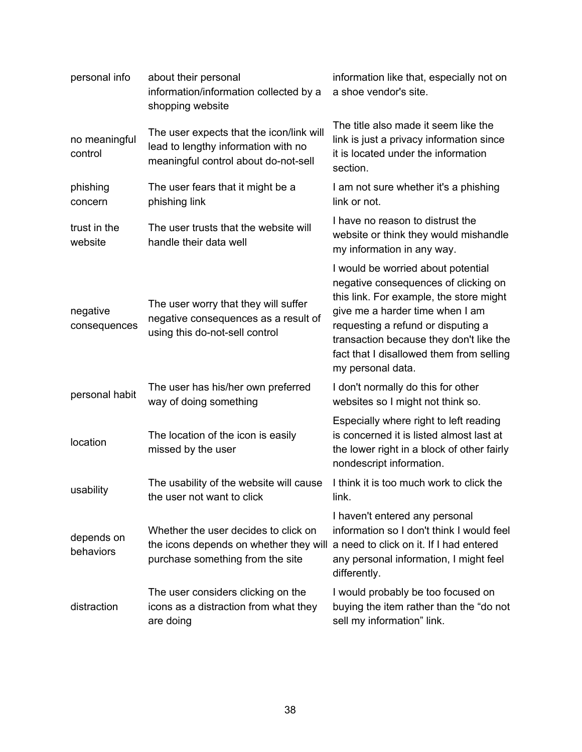| personal info            | about their personal<br>information/information collected by a<br>shopping website                                      | information like that, especially not on<br>a shoe vendor's site.                                                                                                                                                                                                                                          |
|--------------------------|-------------------------------------------------------------------------------------------------------------------------|------------------------------------------------------------------------------------------------------------------------------------------------------------------------------------------------------------------------------------------------------------------------------------------------------------|
| no meaningful<br>control | The user expects that the icon/link will<br>lead to lengthy information with no<br>meaningful control about do-not-sell | The title also made it seem like the<br>link is just a privacy information since<br>it is located under the information<br>section.                                                                                                                                                                        |
| phishing<br>concern      | The user fears that it might be a<br>phishing link                                                                      | I am not sure whether it's a phishing<br>link or not.                                                                                                                                                                                                                                                      |
| trust in the<br>website  | The user trusts that the website will<br>handle their data well                                                         | I have no reason to distrust the<br>website or think they would mishandle<br>my information in any way.                                                                                                                                                                                                    |
| negative<br>consequences | The user worry that they will suffer<br>negative consequences as a result of<br>using this do-not-sell control          | I would be worried about potential<br>negative consequences of clicking on<br>this link. For example, the store might<br>give me a harder time when I am<br>requesting a refund or disputing a<br>transaction because they don't like the<br>fact that I disallowed them from selling<br>my personal data. |
| personal habit           | The user has his/her own preferred<br>way of doing something                                                            | I don't normally do this for other<br>websites so I might not think so.                                                                                                                                                                                                                                    |
| location                 | The location of the icon is easily<br>missed by the user                                                                | Especially where right to left reading<br>is concerned it is listed almost last at<br>the lower right in a block of other fairly<br>nondescript information.                                                                                                                                               |
| usability                | The usability of the website will cause<br>the user not want to click                                                   | I think it is too much work to click the<br>link.                                                                                                                                                                                                                                                          |
| depends on<br>behaviors  | Whether the user decides to click on<br>the icons depends on whether they will<br>purchase something from the site      | I haven't entered any personal<br>information so I don't think I would feel<br>a need to click on it. If I had entered<br>any personal information, I might feel<br>differently.                                                                                                                           |
| distraction              | The user considers clicking on the<br>icons as a distraction from what they<br>are doing                                | I would probably be too focused on<br>buying the item rather than the "do not<br>sell my information" link.                                                                                                                                                                                                |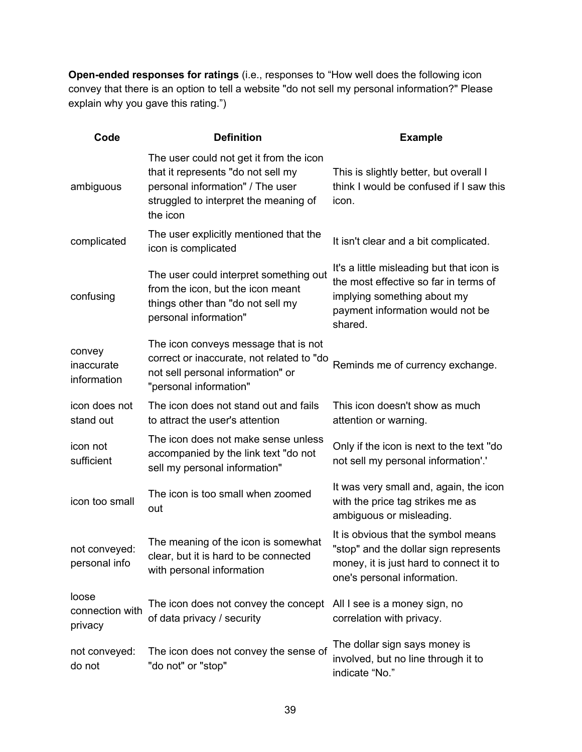**Open-ended responses for ratings** (i.e., responses to "How well does the following icon convey that there is an option to tell a website "do not sell my personal information?" Please explain why you gave this rating.")

| Code                                | <b>Definition</b>                                                                                                                                                      | <b>Example</b>                                                                                                                                                   |
|-------------------------------------|------------------------------------------------------------------------------------------------------------------------------------------------------------------------|------------------------------------------------------------------------------------------------------------------------------------------------------------------|
| ambiguous                           | The user could not get it from the icon<br>that it represents "do not sell my<br>personal information" / The user<br>struggled to interpret the meaning of<br>the icon | This is slightly better, but overall I<br>think I would be confused if I saw this<br>icon.                                                                       |
| complicated                         | The user explicitly mentioned that the<br>icon is complicated                                                                                                          | It isn't clear and a bit complicated.                                                                                                                            |
| confusing                           | The user could interpret something out<br>from the icon, but the icon meant<br>things other than "do not sell my<br>personal information"                              | It's a little misleading but that icon is<br>the most effective so far in terms of<br>implying something about my<br>payment information would not be<br>shared. |
| convey<br>inaccurate<br>information | The icon conveys message that is not<br>correct or inaccurate, not related to "do<br>not sell personal information" or<br>"personal information"                       | Reminds me of currency exchange.                                                                                                                                 |
| icon does not<br>stand out          | The icon does not stand out and fails<br>to attract the user's attention                                                                                               | This icon doesn't show as much<br>attention or warning.                                                                                                          |
| icon not<br>sufficient              | The icon does not make sense unless<br>accompanied by the link text "do not<br>sell my personal information"                                                           | Only if the icon is next to the text "do<br>not sell my personal information'.'                                                                                  |
| icon too small                      | The icon is too small when zoomed<br>out                                                                                                                               | It was very small and, again, the icon<br>with the price tag strikes me as<br>ambiguous or misleading.                                                           |
| not conveyed:<br>personal info      | The meaning of the icon is somewhat<br>clear, but it is hard to be connected<br>with personal information                                                              | It is obvious that the symbol means<br>"stop" and the dollar sign represents<br>money, it is just hard to connect it to<br>one's personal information.           |
| loose<br>connection with<br>privacy | The icon does not convey the concept All I see is a money sign, no<br>of data privacy / security                                                                       | correlation with privacy.                                                                                                                                        |
| not conveyed:<br>do not             | The icon does not convey the sense of<br>"do not" or "stop"                                                                                                            | The dollar sign says money is<br>involved, but no line through it to<br>indicate "No."                                                                           |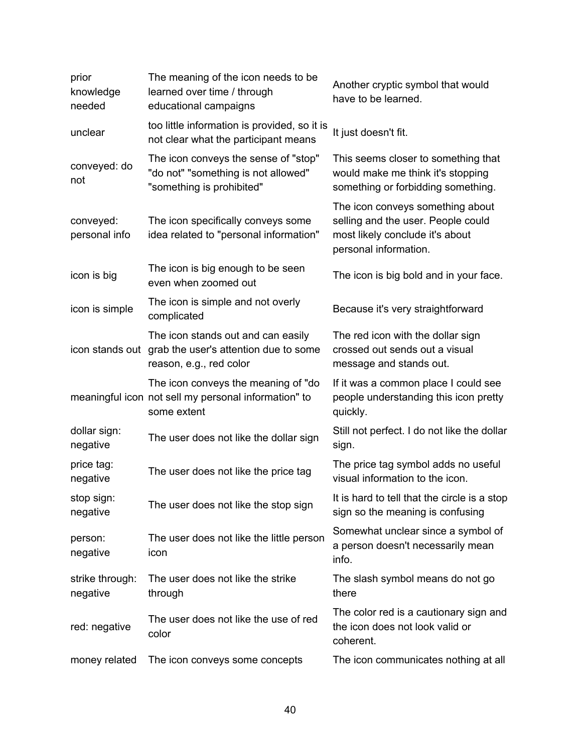| prior<br>knowledge<br>needed | The meaning of the icon needs to be<br>learned over time / through<br>educational campaigns                | Another cryptic symbol that would<br>have to be learned.                                                                           |
|------------------------------|------------------------------------------------------------------------------------------------------------|------------------------------------------------------------------------------------------------------------------------------------|
| unclear                      | too little information is provided, so it is<br>not clear what the participant means                       | It just doesn't fit.                                                                                                               |
| conveyed: do<br>not          | The icon conveys the sense of "stop"<br>"do not" "something is not allowed"<br>"something is prohibited"   | This seems closer to something that<br>would make me think it's stopping<br>something or forbidding something.                     |
| conveyed:<br>personal info   | The icon specifically conveys some<br>idea related to "personal information"                               | The icon conveys something about<br>selling and the user. People could<br>most likely conclude it's about<br>personal information. |
| icon is big                  | The icon is big enough to be seen<br>even when zoomed out                                                  | The icon is big bold and in your face.                                                                                             |
| icon is simple               | The icon is simple and not overly<br>complicated                                                           | Because it's very straightforward                                                                                                  |
| icon stands out              | The icon stands out and can easily<br>grab the user's attention due to some<br>reason, e.g., red color     | The red icon with the dollar sign<br>crossed out sends out a visual<br>message and stands out.                                     |
|                              | The icon conveys the meaning of "do<br>meaningful icon not sell my personal information" to<br>some extent | If it was a common place I could see<br>people understanding this icon pretty<br>quickly.                                          |
| dollar sign:<br>negative     | The user does not like the dollar sign                                                                     | Still not perfect. I do not like the dollar<br>sign.                                                                               |
| price tag:<br>negative       | The user does not like the price tag                                                                       | The price tag symbol adds no useful<br>visual information to the icon.                                                             |
| stop sign:<br>negative       | The user does not like the stop sign                                                                       | It is hard to tell that the circle is a stop<br>sign so the meaning is confusing                                                   |
| person:<br>negative          | The user does not like the little person<br>icon                                                           | Somewhat unclear since a symbol of<br>a person doesn't necessarily mean<br>info.                                                   |
| strike through:<br>negative  | The user does not like the strike<br>through                                                               | The slash symbol means do not go<br>there                                                                                          |
| red: negative                | The user does not like the use of red<br>color                                                             | The color red is a cautionary sign and<br>the icon does not look valid or<br>coherent.                                             |
| money related                | The icon conveys some concepts                                                                             | The icon communicates nothing at all                                                                                               |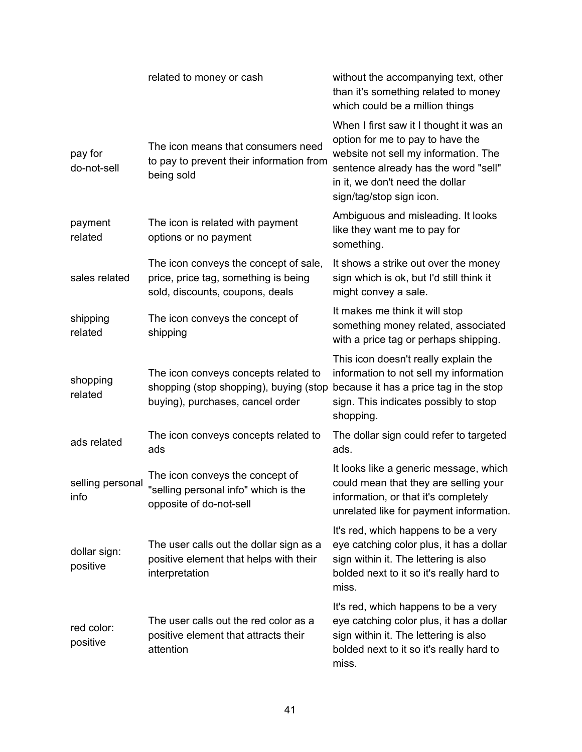|                          | related to money or cash                                                                                           | without the accompanying text, other<br>than it's something related to money<br>which could be a million things                                                                                                            |
|--------------------------|--------------------------------------------------------------------------------------------------------------------|----------------------------------------------------------------------------------------------------------------------------------------------------------------------------------------------------------------------------|
| pay for<br>do-not-sell   | The icon means that consumers need<br>to pay to prevent their information from<br>being sold                       | When I first saw it I thought it was an<br>option for me to pay to have the<br>website not sell my information. The<br>sentence already has the word "sell"<br>in it, we don't need the dollar<br>sign/tag/stop sign icon. |
| payment<br>related       | The icon is related with payment<br>options or no payment                                                          | Ambiguous and misleading. It looks<br>like they want me to pay for<br>something.                                                                                                                                           |
| sales related            | The icon conveys the concept of sale,<br>price, price tag, something is being<br>sold, discounts, coupons, deals   | It shows a strike out over the money<br>sign which is ok, but I'd still think it<br>might convey a sale.                                                                                                                   |
| shipping<br>related      | The icon conveys the concept of<br>shipping                                                                        | It makes me think it will stop<br>something money related, associated<br>with a price tag or perhaps shipping.                                                                                                             |
| shopping<br>related      | The icon conveys concepts related to<br>shopping (stop shopping), buying (stop<br>buying), purchases, cancel order | This icon doesn't really explain the<br>information to not sell my information<br>because it has a price tag in the stop<br>sign. This indicates possibly to stop<br>shopping.                                             |
| ads related              | The icon conveys concepts related to<br>ads                                                                        | The dollar sign could refer to targeted<br>ads.                                                                                                                                                                            |
| selling personal<br>info | The icon conveys the concept of<br>"selling personal info" which is the<br>opposite of do-not-sell                 | It looks like a generic message, which<br>could mean that they are selling your<br>information, or that it's completely<br>unrelated like for payment information.                                                         |
| dollar sign:<br>positive | The user calls out the dollar sign as a<br>positive element that helps with their<br>interpretation                | It's red, which happens to be a very<br>eye catching color plus, it has a dollar<br>sign within it. The lettering is also<br>bolded next to it so it's really hard to<br>miss.                                             |
| red color:<br>positive   | The user calls out the red color as a<br>positive element that attracts their<br>attention                         | It's red, which happens to be a very<br>eye catching color plus, it has a dollar<br>sign within it. The lettering is also<br>bolded next to it so it's really hard to<br>miss.                                             |